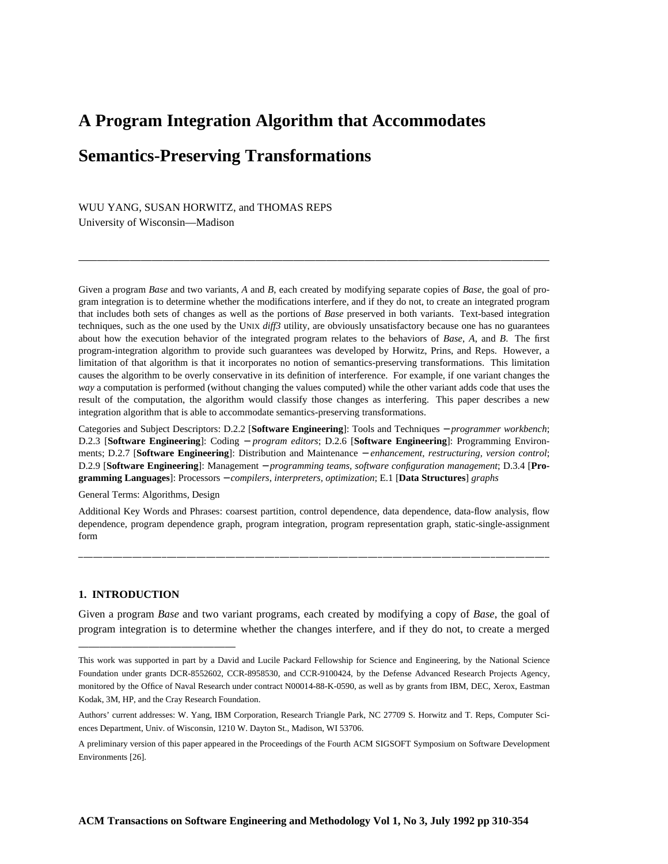# **A Program Integration Algorithm that Accommodates Semantics-Preserving Transformations**

### WUU YANG, SUSAN HORWITZ, and THOMAS REPS

University of Wisconsin—Madison

Given a program *Base* and two variants, *A* and *B*, each created by modifying separate copies of *Base*, the goal of program integration is to determine whether the modifications interfere, and if they do not, to create an integrated program that includes both sets of changes as well as the portions of *Base* preserved in both variants. Text-based integration techniques, such as the one used by the UNIX *diff3* utility, are obviously unsatisfactory because one has no guarantees about how the execution behavior of the integrated program relates to the behaviors of *Base*, *A*, and *B*. The first program-integration algorithm to provide such guarantees was developed by Horwitz, Prins, and Reps. However, a limitation of that algorithm is that it incorporates no notion of semantics-preserving transformations. This limitation causes the algorithm to be overly conservative in its definition of interference. For example, if one variant changes the *way* a computation is performed (without changing the values computed) while the other variant adds code that uses the result of the computation, the algorithm would classify those changes as interfering. This paper describes a new integration algorithm that is able to accommodate semantics-preserving transformations.

Categories and Subject Descriptors: D.2.2 [**Software Engineering**]: Tools and Techniques − *programmer workbench*; D.2.3 [**Software Engineering**]: Coding − *program editors*; D.2.6 [**Software Engineering**]: Programming Environments; D.2.7 [**Software Engineering**]: Distribution and Maintenance − *enhancement, restructuring, version control*; D.2.9 [**Software Engineering**]: Management − *programming teams, software configuration management*; D.3.4 [**Programming Languages**]: Processors − *compilers, interpreters, optimization*; E.1 [**Data Structures**] *graphs*

General Terms: Algorithms, Design

Additional Key Words and Phrases: coarsest partition, control dependence, data dependence, data-flow analysis, flow dependence, program dependence graph, program integration, program representation graph, static-single-assignment form

#### **1. INTRODUCTION**

-----------------------------------------------------------------------------------------------

Given a program *Base* and two variant programs, each created by modifying a copy of *Base*, the goal of program integration is to determine whether the changes interfere, and if they do not, to create a merged

This work was supported in part by a David and Lucile Packard Fellowship for Science and Engineering, by the National Science Foundation under grants DCR-8552602, CCR-8958530, and CCR-9100424, by the Defense Advanced Research Projects Agency, monitored by the Office of Naval Research under contract N00014-88-K-0590, as well as by grants from IBM, DEC, Xerox, Eastman Kodak, 3M, HP, and the Cray Research Foundation.

Authors' current addresses: W. Yang, IBM Corporation, Research Triangle Park, NC 27709 S. Horwitz and T. Reps, Computer Sciences Department, Univ. of Wisconsin, 1210 W. Dayton St., Madison, WI 53706.

A preliminary version of this paper appeared in the Proceedings of the Fourth ACM SIGSOFT Symposium on Software Development Environments [26].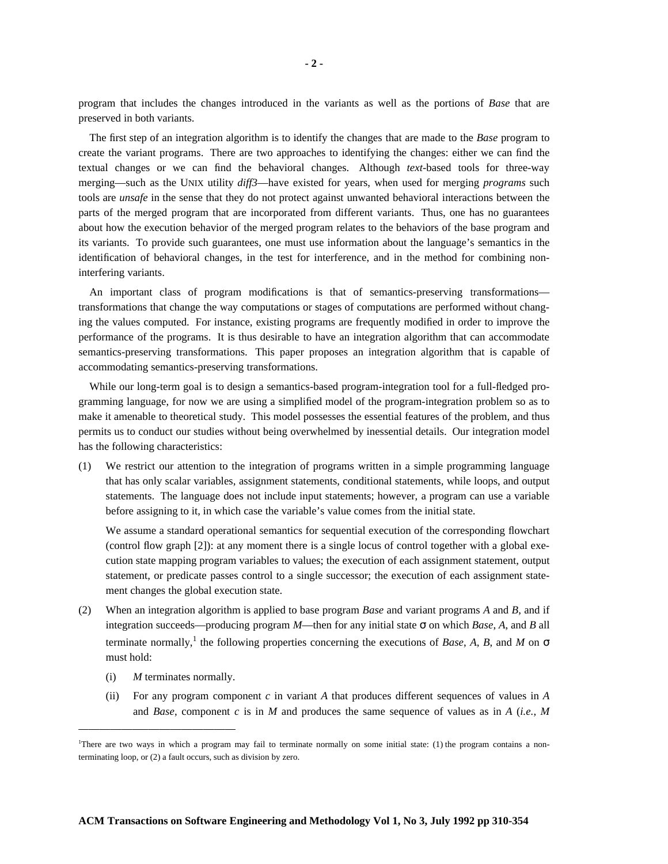program that includes the changes introduced in the variants as well as the portions of *Base* that are preserved in both variants.

The first step of an integration algorithm is to identify the changes that are made to the *Base* program to create the variant programs. There are two approaches to identifying the changes: either we can find the textual changes or we can find the behavioral changes. Although *text*-based tools for three-way merging—such as the UNIX utility *diff3*—have existed for years, when used for merging *programs* such tools are *unsafe* in the sense that they do not protect against unwanted behavioral interactions between the parts of the merged program that are incorporated from different variants. Thus, one has no guarantees about how the execution behavior of the merged program relates to the behaviors of the base program and its variants. To provide such guarantees, one must use information about the language's semantics in the identification of behavioral changes, in the test for interference, and in the method for combining noninterfering variants.

An important class of program modifications is that of semantics-preserving transformations transformations that change the way computations or stages of computations are performed without changing the values computed. For instance, existing programs are frequently modified in order to improve the performance of the programs. It is thus desirable to have an integration algorithm that can accommodate semantics-preserving transformations. This paper proposes an integration algorithm that is capable of accommodating semantics-preserving transformations.

While our long-term goal is to design a semantics-based program-integration tool for a full-fledged programming language, for now we are using a simplified model of the program-integration problem so as to make it amenable to theoretical study. This model possesses the essential features of the problem, and thus permits us to conduct our studies without being overwhelmed by inessential details. Our integration model has the following characteristics:

(1) We restrict our attention to the integration of programs written in a simple programming language that has only scalar variables, assignment statements, conditional statements, while loops, and output statements. The language does not include input statements; however, a program can use a variable before assigning to it, in which case the variable's value comes from the initial state.

We assume a standard operational semantics for sequential execution of the corresponding flowchart (control flow graph [2]): at any moment there is a single locus of control together with a global execution state mapping program variables to values; the execution of each assignment statement, output statement, or predicate passes control to a single successor; the execution of each assignment statement changes the global execution state.

- (2) When an integration algorithm is applied to base program *Base* and variant programs *A* and *B*, and if integration succeeds—producing program *M*—then for any initial state  $\sigma$  on which *Base*, *A*, and *B* all terminate normally,<sup>1</sup> the following properties concerning the executions of *Base*, *A*, *B*, and *M* on  $\sigma$ must hold:
	- (i) *M* terminates normally.

(ii) For any program component *c* in variant *A* that produces different sequences of values in *A* and *Base*, component *c* is in *M* and produces the same sequence of values as in *A* (*i.e.*, *M*

<sup>1</sup>There are two ways in which a program may fail to terminate normally on some initial state: (1) the program contains a nonterminating loop, or (2) a fault occurs, such as division by zero.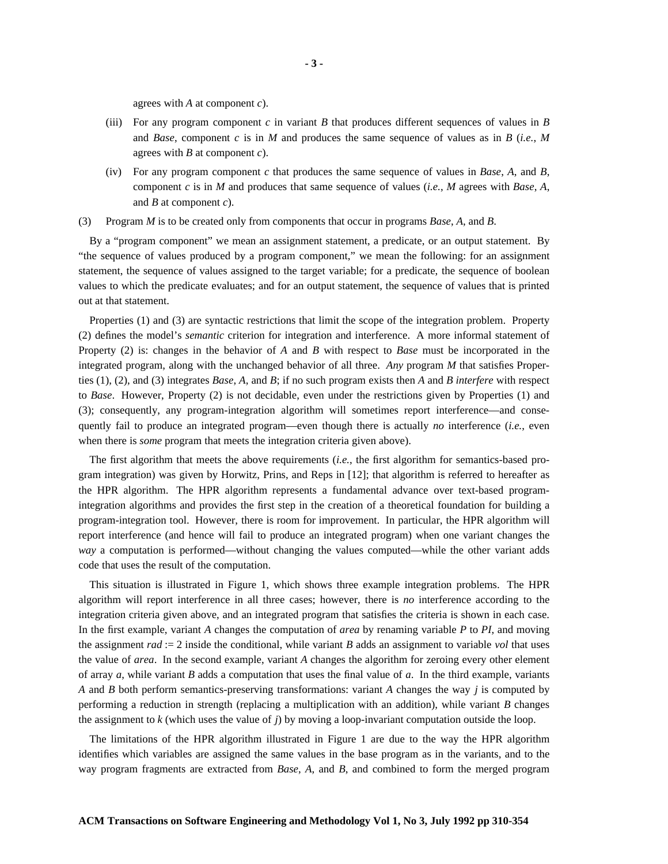agrees with *A* at component *c*).

- (iii) For any program component  $c$  in variant  $B$  that produces different sequences of values in  $B$ and *Base*, component *c* is in *M* and produces the same sequence of values as in *B* (*i.e.*, *M* agrees with *B* at component *c*).
- (iv) For any program component *c* that produces the same sequence of values in *Base*, *A*, and *B*, component *c* is in *M* and produces that same sequence of values (*i.e.*, *M* agrees with *Base*, *A*, and *B* at component *c*).

(3) Program *M* is to be created only from components that occur in programs *Base*, *A*, and *B*.

By a "program component" we mean an assignment statement, a predicate, or an output statement. By "the sequence of values produced by a program component," we mean the following: for an assignment statement, the sequence of values assigned to the target variable; for a predicate, the sequence of boolean values to which the predicate evaluates; and for an output statement, the sequence of values that is printed out at that statement.

Properties (1) and (3) are syntactic restrictions that limit the scope of the integration problem. Property (2) defines the model's *semantic* criterion for integration and interference. A more informal statement of Property (2) is: changes in the behavior of *A* and *B* with respect to *Base* must be incorporated in the integrated program, along with the unchanged behavior of all three. *Any* program *M* that satisfies Properties (1), (2), and (3) integrates *Base*, *A*, and *B*; if no such program exists then *A* and *B interfere* with respect to *Base*. However, Property (2) is not decidable, even under the restrictions given by Properties (1) and (3); consequently, any program-integration algorithm will sometimes report interference—and consequently fail to produce an integrated program—even though there is actually *no* interference (*i.e.*, even when there is *some* program that meets the integration criteria given above).

The first algorithm that meets the above requirements (*i.e.*, the first algorithm for semantics-based program integration) was given by Horwitz, Prins, and Reps in [12]; that algorithm is referred to hereafter as the HPR algorithm. The HPR algorithm represents a fundamental advance over text-based programintegration algorithms and provides the first step in the creation of a theoretical foundation for building a program-integration tool. However, there is room for improvement. In particular, the HPR algorithm will report interference (and hence will fail to produce an integrated program) when one variant changes the *way* a computation is performed—without changing the values computed—while the other variant adds code that uses the result of the computation.

This situation is illustrated in Figure 1, which shows three example integration problems. The HPR algorithm will report interference in all three cases; however, there is *no* interference according to the integration criteria given above, and an integrated program that satisfies the criteria is shown in each case. In the first example, variant *A* changes the computation of *area* by renaming variable *P* to *PI*, and moving the assignment *rad* := 2 inside the conditional, while variant *B* adds an assignment to variable *vol* that uses the value of *area*. In the second example, variant *A* changes the algorithm for zeroing every other element of array *a*, while variant *B* adds a computation that uses the final value of *a*. In the third example, variants *A* and *B* both perform semantics-preserving transformations: variant *A* changes the way *j* is computed by performing a reduction in strength (replacing a multiplication with an addition), while variant *B* changes the assignment to *k* (which uses the value of *j*) by moving a loop-invariant computation outside the loop.

The limitations of the HPR algorithm illustrated in Figure 1 are due to the way the HPR algorithm identifies which variables are assigned the same values in the base program as in the variants, and to the way program fragments are extracted from *Base*, *A*, and *B*, and combined to form the merged program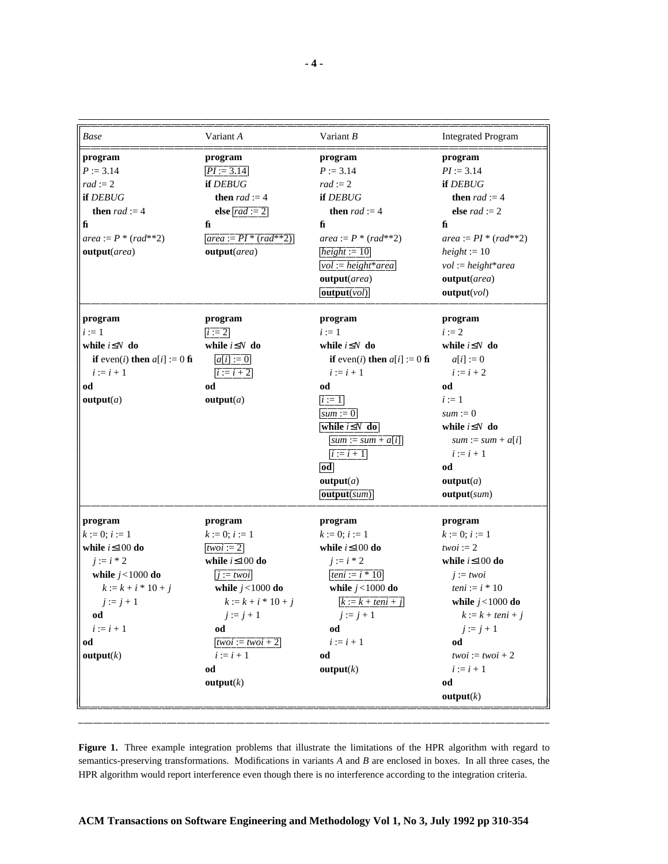| Base                                           | Variant A                      | Variant $B$                                    | <b>Integrated Program</b>  |
|------------------------------------------------|--------------------------------|------------------------------------------------|----------------------------|
| program                                        | program                        | program                                        | program                    |
| $P := 3.14$                                    | $PI := 3.14$                   | $P := 3.14$                                    | $PI := 3.14$               |
| $rad := 2$                                     | if DEBUG                       | $rad := 2$                                     | if DEBUG                   |
| if DEBUG                                       | then $rad := 4$                | if DEBUG                                       | <b>then</b> $rad := 4$     |
| <b>then</b> $rad := 4$                         | else $rad := 2$                | then $rad := 4$                                | else $rad := 2$            |
| fi                                             | $f_{\rm I}$                    | fi                                             | f <sub>i</sub>             |
| $area := P * (rad**2)$                         | <i>area</i> := $PI * (rad**2)$ | $area := P * (rad**2)$                         | $area := PI * (rad**2)$    |
| output(area)                                   | output(area)                   | $height := 10$                                 | $height := 10$             |
|                                                |                                | $vol := height*area$                           | $vol := height*area$       |
|                                                |                                | output(area)                                   | output(area)               |
|                                                |                                | output(vol)                                    | output(vol)                |
| program                                        | program                        | program                                        | program                    |
| $i := 1$                                       | $i := 2$                       | $i := 1$                                       | $i := 2$                   |
| while $i \leq N$ do                            | while $i \leq N$ do            | while $i \leq N$ do                            | while $i \leq N$ do        |
| <b>if</b> even( <i>i</i> ) then $a[i] := 0$ fi | $a[i] := 0$                    | <b>if</b> even( <i>i</i> ) then $a[i] := 0$ fi | $a[i] := 0$                |
| $i := i + 1$                                   | $ i := i + 2 $                 | $i := i + 1$                                   | $i := i + 2$               |
| od                                             | od                             | od                                             | od                         |
| output(a)                                      | output(a)                      | $i := 1$                                       | $i := 1$                   |
|                                                |                                | $sum := 0$                                     | $sum := 0$                 |
|                                                |                                | while $i \leq N$ do                            | while $i \leq N$ do        |
|                                                |                                | $sum := sum + a[i]$                            | $sum := sum + a[i]$        |
|                                                |                                | $i := i + 1$                                   | $i := i + 1$               |
|                                                |                                | od                                             | od                         |
|                                                |                                | output(a)                                      | output(a)                  |
|                                                |                                | output(sum)                                    | output(sum)                |
| program                                        | program                        | program                                        | program                    |
| $k := 0; i := 1$                               | $k := 0; i := 1$               | $k := 0; i := 1$                               | $k := 0; i := 1$           |
| while $i \leq 100$ do                          | twoi: $= 2$                    | while $i \leq 100$ do                          | $twoi := 2$                |
| $j := i * 2$                                   | while $i \leq 100$ do          | $j := i * 2$                                   | while $i \leq 100$ do      |
| while $j < 1000$ do                            | $j := twoi$                    | teni := $i * 10$                               | $i := twoi$                |
| $k := k + i * 10 + j$                          | while $j < 1000$ do            | while $j < 1000$ do                            | teni := $i * 10$           |
| $j := j + 1$                                   | $k := k + i * 10 + j$          | $k := k + teni + j$                            | while $j<1000$ do          |
| od                                             | $j := j + 1$                   | $j := j + 1$                                   | $k := k + \text{teni} + j$ |
| $i := i + 1$                                   | od                             | od                                             | $j := j + 1$               |
| od                                             | $twoi := twoi + 2$             | $i := i + 1$                                   | od                         |
| output(k)                                      | $i := i + 1$                   | od                                             | $twoi := twoi + 2$         |
|                                                | od                             | output(k)                                      | $i := i + 1$               |
|                                                | output(k)                      |                                                | od                         |
|                                                |                                |                                                |                            |

**Figure 1.** Three example integration problems that illustrate the limitations of the HPR algorithm with regard to semantics-preserving transformations. Modifications in variants *A* and *B* are enclosed in boxes. In all three cases, the HPR algorithm would report interference even though there is no interference according to the integration criteria.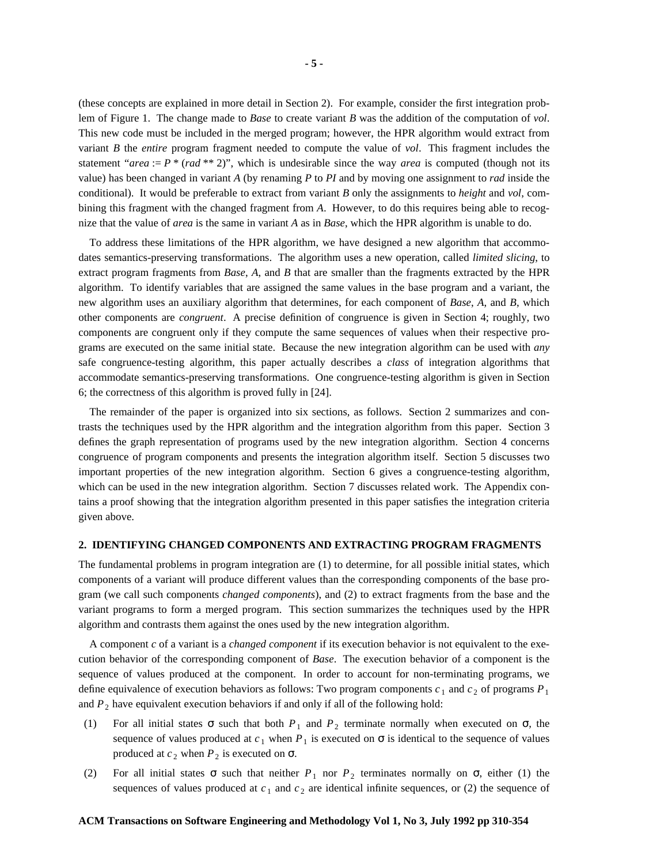(these concepts are explained in more detail in Section 2). For example, consider the first integration problem of Figure 1. The change made to *Base* to create variant *B* was the addition of the computation of *vol*. This new code must be included in the merged program; however, the HPR algorithm would extract from variant *B* the *entire* program fragment needed to compute the value of *vol*. This fragment includes the statement "*area* :=  $P$  \* (*rad* \*\* 2)", which is undesirable since the way *area* is computed (though not its value) has been changed in variant *A* (by renaming *P* to *PI* and by moving one assignment to *rad* inside the conditional). It would be preferable to extract from variant *B* only the assignments to *height* and *vol*, combining this fragment with the changed fragment from *A*. However, to do this requires being able to recognize that the value of *area* is the same in variant *A* as in *Base*, which the HPR algorithm is unable to do.

To address these limitations of the HPR algorithm, we have designed a new algorithm that accommodates semantics-preserving transformations. The algorithm uses a new operation, called *limited slicing*, to extract program fragments from *Base*, *A*, and *B* that are smaller than the fragments extracted by the HPR algorithm. To identify variables that are assigned the same values in the base program and a variant, the new algorithm uses an auxiliary algorithm that determines, for each component of *Base*, *A*, and *B*, which other components are *congruent*. A precise definition of congruence is given in Section 4; roughly, two components are congruent only if they compute the same sequences of values when their respective programs are executed on the same initial state. Because the new integration algorithm can be used with *any* safe congruence-testing algorithm, this paper actually describes a *class* of integration algorithms that accommodate semantics-preserving transformations. One congruence-testing algorithm is given in Section 6; the correctness of this algorithm is proved fully in [24].

The remainder of the paper is organized into six sections, as follows. Section 2 summarizes and contrasts the techniques used by the HPR algorithm and the integration algorithm from this paper. Section 3 defines the graph representation of programs used by the new integration algorithm. Section 4 concerns congruence of program components and presents the integration algorithm itself. Section 5 discusses two important properties of the new integration algorithm. Section 6 gives a congruence-testing algorithm, which can be used in the new integration algorithm. Section 7 discusses related work. The Appendix contains a proof showing that the integration algorithm presented in this paper satisfies the integration criteria given above.

#### **2. IDENTIFYING CHANGED COMPONENTS AND EXTRACTING PROGRAM FRAGMENTS**

The fundamental problems in program integration are (1) to determine, for all possible initial states, which components of a variant will produce different values than the corresponding components of the base program (we call such components *changed components*), and (2) to extract fragments from the base and the variant programs to form a merged program. This section summarizes the techniques used by the HPR algorithm and contrasts them against the ones used by the new integration algorithm.

A component *c* of a variant is a *changed component* if its execution behavior is not equivalent to the execution behavior of the corresponding component of *Base*. The execution behavior of a component is the sequence of values produced at the component. In order to account for non-terminating programs, we define equivalence of execution behaviors as follows: Two program components  $c_1$  and  $c_2$  of programs  $P_1$ and  $P_2$  have equivalent execution behaviors if and only if all of the following hold:

- (1) For all initial states  $\sigma$  such that both  $P_1$  and  $P_2$  terminate normally when executed on  $\sigma$ , the sequence of values produced at  $c_1$  when  $P_1$  is executed on  $\sigma$  is identical to the sequence of values produced at  $c_2$  when  $P_2$  is executed on  $\sigma$ .
- (2) For all initial states  $\sigma$  such that neither  $P_1$  nor  $P_2$  terminates normally on  $\sigma$ , either (1) the sequences of values produced at  $c_1$  and  $c_2$  are identical infinite sequences, or (2) the sequence of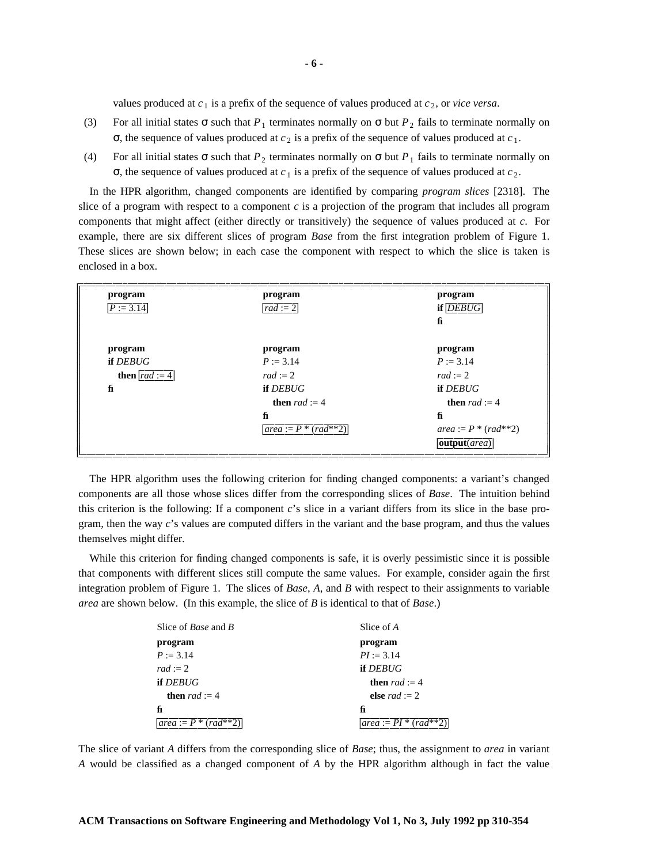values produced at  $c_1$  is a prefix of the sequence of values produced at  $c_2$ , or *vice versa*.

- (3) For all initial states  $\sigma$  such that  $P_1$  terminates normally on  $\sigma$  but  $P_2$  fails to terminate normally on  $\sigma$ , the sequence of values produced at  $c_2$  is a prefix of the sequence of values produced at  $c_1$ .
- (4) For all initial states  $\sigma$  such that  $P_2$  terminates normally on  $\sigma$  but  $P_1$  fails to terminate normally on σ, the sequence of values produced at *c*<sub>1</sub> is a prefix of the sequence of values produced at *c*<sub>2</sub>.

In the HPR algorithm, changed components are identified by comparing *program slices* [2318]. The slice of a program with respect to a component *c* is a projection of the program that includes all program components that might affect (either directly or transitively) the sequence of values produced at *c*. For example, there are six different slices of program *Base* from the first integration problem of Figure 1. These slices are shown below; in each case the component with respect to which the slice is taken is enclosed in a box.

| program                  | program                     | program                   |
|--------------------------|-----------------------------|---------------------------|
| $P := 3.14$              | $ rad:=2 $                  | $if$ $DEBUG$              |
|                          |                             | fi                        |
|                          |                             |                           |
| program                  | program                     | program                   |
| if DEBUG                 | $P := 3.14$                 | $P := 3.14$               |
| <b>then</b> $ rad := 4 $ | $rad := 2$                  | $rad := 2$                |
| fi                       | if DEBUG                    | if DEBUG                  |
|                          | <b>then</b> $rad := 4$      | <b>then</b> $rad := 4$    |
|                          | fi                          | fi                        |
|                          | $ area := P^* (rad^{**}2) $ | $area := P * (rad^{**}2)$ |
|                          |                             | output(area)              |

The HPR algorithm uses the following criterion for finding changed components: a variant's changed components are all those whose slices differ from the corresponding slices of *Base*. The intuition behind this criterion is the following: If a component *c*'s slice in a variant differs from its slice in the base program, then the way *c*'s values are computed differs in the variant and the base program, and thus the values themselves might differ.

While this criterion for finding changed components is safe, it is overly pessimistic since it is possible that components with different slices still compute the same values. For example, consider again the first integration problem of Figure 1. The slices of *Base*, *A*, and *B* with respect to their assignments to variable *area* are shown below. (In this example, the slice of *B* is identical to that of *Base*.)

| Slice of <i>Base</i> and <i>B</i>               | Slice of A               |
|-------------------------------------------------|--------------------------|
| program                                         | program                  |
| $P := 3.14$                                     | $PI := 3.14$             |
| $rad := 2$                                      | if DEBUG                 |
| if DEBUG                                        | <b>then</b> $rad := 4$   |
| <b>then</b> $rad := 4$                          | else <i>rad</i> := 2     |
| fi                                              | fi                       |
| $ area := P^* $<br>$rac{r a d^{**} \bar{2}}{r}$ | $ area := PI * (rad**2)$ |

The slice of variant *A* differs from the corresponding slice of *Base*; thus, the assignment to *area* in variant *A* would be classified as a changed component of *A* by the HPR algorithm although in fact the value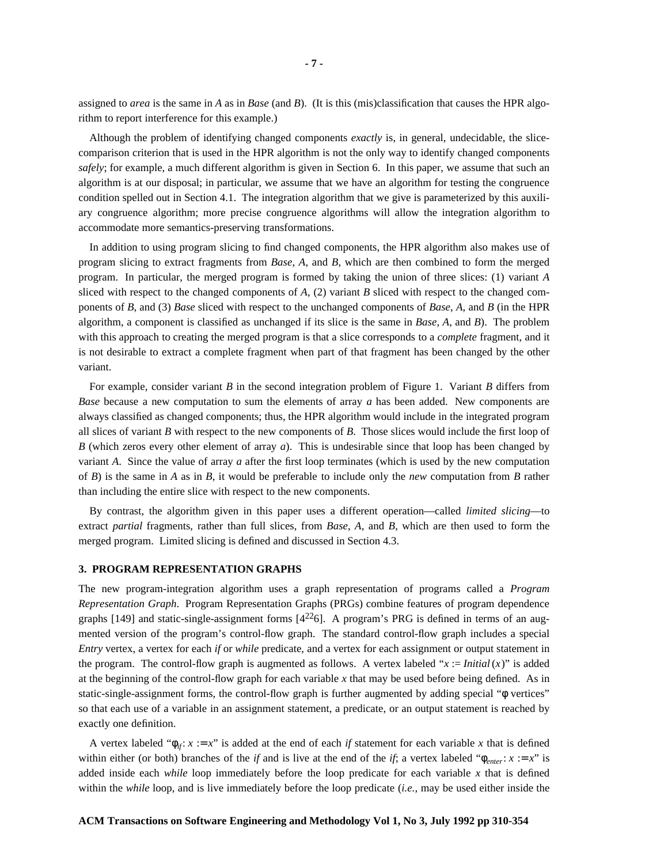assigned to *area* is the same in *A* as in *Base* (and *B*). (It is this (mis)classification that causes the HPR algorithm to report interference for this example.)

Although the problem of identifying changed components *exactly* is, in general, undecidable, the slicecomparison criterion that is used in the HPR algorithm is not the only way to identify changed components *safely*; for example, a much different algorithm is given in Section 6. In this paper, we assume that such an algorithm is at our disposal; in particular, we assume that we have an algorithm for testing the congruence condition spelled out in Section 4.1. The integration algorithm that we give is parameterized by this auxiliary congruence algorithm; more precise congruence algorithms will allow the integration algorithm to accommodate more semantics-preserving transformations.

In addition to using program slicing to find changed components, the HPR algorithm also makes use of program slicing to extract fragments from *Base*, *A*, and *B*, which are then combined to form the merged program. In particular, the merged program is formed by taking the union of three slices: (1) variant *A* sliced with respect to the changed components of *A*, (2) variant *B* sliced with respect to the changed components of *B*, and (3) *Base* sliced with respect to the unchanged components of *Base*, *A*, and *B* (in the HPR algorithm, a component is classified as unchanged if its slice is the same in *Base*, *A*, and *B*). The problem with this approach to creating the merged program is that a slice corresponds to a *complete* fragment, and it is not desirable to extract a complete fragment when part of that fragment has been changed by the other variant.

For example, consider variant *B* in the second integration problem of Figure 1. Variant *B* differs from *Base* because a new computation to sum the elements of array *a* has been added. New components are always classified as changed components; thus, the HPR algorithm would include in the integrated program all slices of variant *B* with respect to the new components of *B*. Those slices would include the first loop of *B* (which zeros every other element of array *a*). This is undesirable since that loop has been changed by variant *A*. Since the value of array *a* after the first loop terminates (which is used by the new computation of *B*) is the same in *A* as in *B*, it would be preferable to include only the *new* computation from *B* rather than including the entire slice with respect to the new components.

By contrast, the algorithm given in this paper uses a different operation—called *limited slicing*—to extract *partial* fragments, rather than full slices, from *Base*, *A*, and *B*, which are then used to form the merged program. Limited slicing is defined and discussed in Section 4.3.

#### **3. PROGRAM REPRESENTATION GRAPHS**

The new program-integration algorithm uses a graph representation of programs called a *Program Representation Graph*. Program Representation Graphs (PRGs) combine features of program dependence graphs  $[149]$  and static-single-assignment forms  $[4^{22}6]$ . A program's PRG is defined in terms of an augmented version of the program's control-flow graph. The standard control-flow graph includes a special *Entry* vertex, a vertex for each *if* or *while* predicate, and a vertex for each assignment or output statement in the program. The control-flow graph is augmented as follows. A vertex labeled "*x* := *Initial*(*x*)" is added at the beginning of the control-flow graph for each variable *x* that may be used before being defined. As in static-single-assignment forms, the control-flow graph is further augmented by adding special "φ vertices" so that each use of a variable in an assignment statement, a predicate, or an output statement is reached by exactly one definition.

A vertex labeled " $\phi_{if}$ :  $x := x$ " is added at the end of each *if* statement for each variable *x* that is defined within either (or both) branches of the *if* and is live at the end of the *if*; a vertex labeled " $\phi_{enter}$ :  $x := x$ " is added inside each *while* loop immediately before the loop predicate for each variable *x* that is defined within the *while* loop, and is live immediately before the loop predicate (*i.e.*, may be used either inside the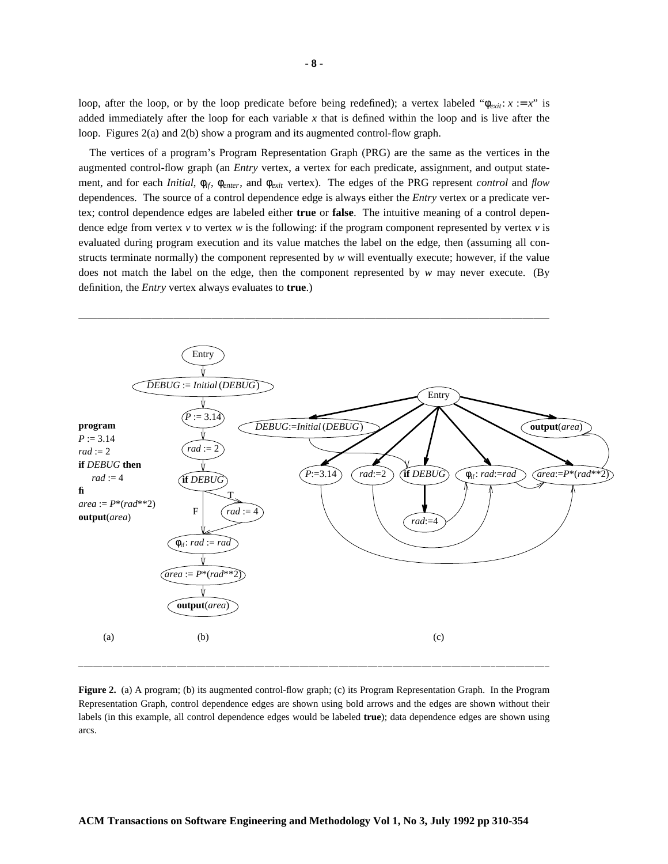loop, after the loop, or by the loop predicate before being redefined); a vertex labeled " $\phi_{exit}: x := x$ " is added immediately after the loop for each variable  $x$  that is defined within the loop and is live after the loop. Figures 2(a) and 2(b) show a program and its augmented control-flow graph.

The vertices of a program's Program Representation Graph (PRG) are the same as the vertices in the augmented control-flow graph (an *Entry* vertex, a vertex for each predicate, assignment, and output statement, and for each *Initial*, φ*if*, φ*enter*, and φ*exit* vertex). The edges of the PRG represent *control* and *flow* dependences. The source of a control dependence edge is always either the *Entry* vertex or a predicate vertex; control dependence edges are labeled either **true** or **false**. The intuitive meaning of a control dependence edge from vertex *v* to vertex *w* is the following: if the program component represented by vertex *v* is evaluated during program execution and its value matches the label on the edge, then (assuming all constructs terminate normally) the component represented by *w* will eventually execute; however, if the value does not match the label on the edge, then the component represented by *w* may never execute. (By definition, the *Entry* vertex always evaluates to **true**.)



**Figure 2.** (a) A program; (b) its augmented control-flow graph; (c) its Program Representation Graph. In the Program Representation Graph, control dependence edges are shown using bold arrows and the edges are shown without their labels (in this example, all control dependence edges would be labeled **true**); data dependence edges are shown using arcs.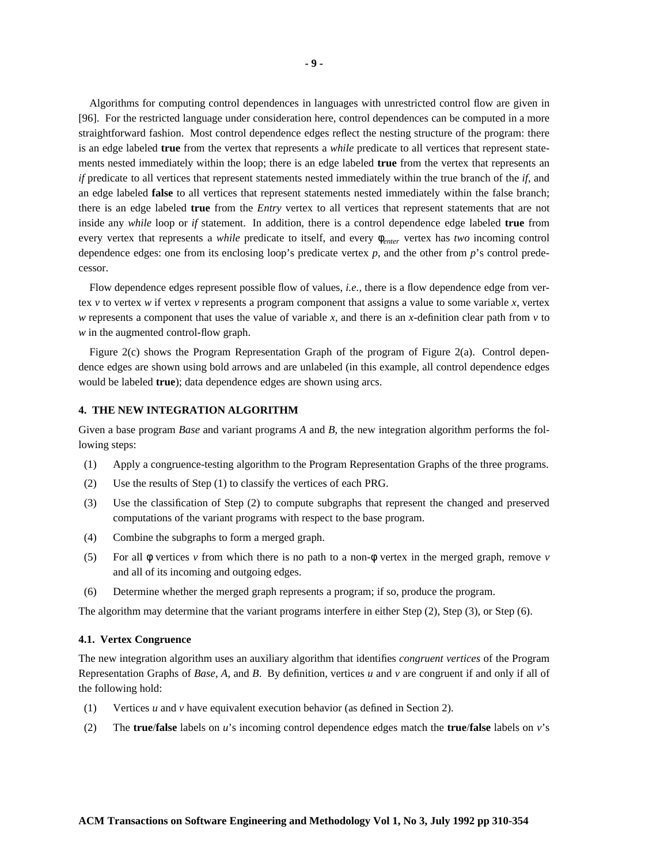Algorithms for computing control dependences in languages with unrestricted control flow are given in [96]. For the restricted language under consideration here, control dependences can be computed in a more straightforward fashion. Most control dependence edges reflect the nesting structure of the program: there is an edge labeled **true** from the vertex that represents a *while* predicate to all vertices that represent statements nested immediately within the loop; there is an edge labeled **true** from the vertex that represents an *if* predicate to all vertices that represent statements nested immediately within the true branch of the *if*, and an edge labeled **false** to all vertices that represent statements nested immediately within the false branch; there is an edge labeled **true** from the *Entry* vertex to all vertices that represent statements that are not inside any *while* loop or *if* statement. In addition, there is a control dependence edge labeled **true** from every vertex that represents a *while* predicate to itself, and every φ*enter* vertex has *two* incoming control dependence edges: one from its enclosing loop's predicate vertex *p*, and the other from *p*'s control predecessor.

Flow dependence edges represent possible flow of values, *i.e.*, there is a flow dependence edge from vertex *v* to vertex *w* if vertex *v* represents a program component that assigns a value to some variable *x*, vertex *w* represents a component that uses the value of variable *x*, and there is an *x*-definition clear path from *v* to *w* in the augmented control-flow graph.

Figure 2(c) shows the Program Representation Graph of the program of Figure 2(a). Control dependence edges are shown using bold arrows and are unlabeled (in this example, all control dependence edges would be labeled **true**); data dependence edges are shown using arcs.

#### **4. THE NEW INTEGRATION ALGORITHM**

Given a base program *Base* and variant programs *A* and *B*, the new integration algorithm performs the following steps:

- (1) Apply a congruence-testing algorithm to the Program Representation Graphs of the three programs.
- (2) Use the results of Step (1) to classify the vertices of each PRG.
- (3) Use the classification of Step (2) to compute subgraphs that represent the changed and preserved computations of the variant programs with respect to the base program.
- (4) Combine the subgraphs to form a merged graph.
- (5) For all φ vertices *v* from which there is no path to a non-φ vertex in the merged graph, remove *v* and all of its incoming and outgoing edges.
- (6) Determine whether the merged graph represents a program; if so, produce the program.

The algorithm may determine that the variant programs interfere in either Step (2), Step (3), or Step (6).

#### **4.1. Vertex Congruence**

The new integration algorithm uses an auxiliary algorithm that identifies *congruent vertices* of the Program Representation Graphs of *Base*, *A*, and *B*. By definition, vertices *u* and *v* are congruent if and only if all of the following hold:

- (1) Vertices *u* and *v* have equivalent execution behavior (as defined in Section 2).
- (2) The **true**/**false** labels on *u*'s incoming control dependence edges match the **true**/**false** labels on *v*'s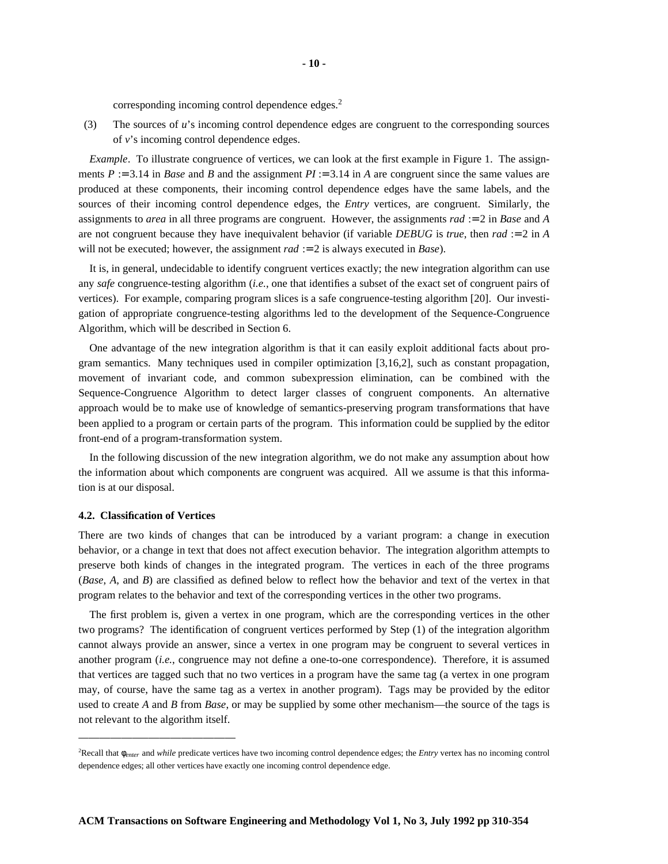corresponding incoming control dependence edges.<sup>2</sup>

(3) The sources of *u*'s incoming control dependence edges are congruent to the corresponding sources of *v*'s incoming control dependence edges.

*Example*. To illustrate congruence of vertices, we can look at the first example in Figure 1. The assignments  $P := 3.14$  in *Base* and *B* and the assignment  $PI := 3.14$  in *A* are congruent since the same values are produced at these components, their incoming control dependence edges have the same labels, and the sources of their incoming control dependence edges, the *Entry* vertices, are congruent. Similarly, the assignments to *area* in all three programs are congruent. However, the assignments *rad* := 2 in *Base* and *A* are not congruent because they have inequivalent behavior (if variable *DEBUG* is *true*, then *rad* := 2 in *A* will not be executed; however, the assignment *rad* := 2 is always executed in *Base*).

It is, in general, undecidable to identify congruent vertices exactly; the new integration algorithm can use any *safe* congruence-testing algorithm (*i.e.*, one that identifies a subset of the exact set of congruent pairs of vertices). For example, comparing program slices is a safe congruence-testing algorithm [20]. Our investigation of appropriate congruence-testing algorithms led to the development of the Sequence-Congruence Algorithm, which will be described in Section 6.

One advantage of the new integration algorithm is that it can easily exploit additional facts about program semantics. Many techniques used in compiler optimization [3,16,2], such as constant propagation, movement of invariant code, and common subexpression elimination, can be combined with the Sequence-Congruence Algorithm to detect larger classes of congruent components. An alternative approach would be to make use of knowledge of semantics-preserving program transformations that have been applied to a program or certain parts of the program. This information could be supplied by the editor front-end of a program-transformation system.

In the following discussion of the new integration algorithm, we do not make any assumption about how the information about which components are congruent was acquired. All we assume is that this information is at our disposal.

#### **4.2. Classification of Vertices**

There are two kinds of changes that can be introduced by a variant program: a change in execution behavior, or a change in text that does not affect execution behavior. The integration algorithm attempts to preserve both kinds of changes in the integrated program. The vertices in each of the three programs (*Base*, *A*, and *B*) are classified as defined below to reflect how the behavior and text of the vertex in that program relates to the behavior and text of the corresponding vertices in the other two programs.

The first problem is, given a vertex in one program, which are the corresponding vertices in the other two programs? The identification of congruent vertices performed by Step (1) of the integration algorithm cannot always provide an answer, since a vertex in one program may be congruent to several vertices in another program (*i.e.*, congruence may not define a one-to-one correspondence). Therefore, it is assumed that vertices are tagged such that no two vertices in a program have the same tag (a vertex in one program may, of course, have the same tag as a vertex in another program). Tags may be provided by the editor used to create *A* and *B* from *Base*, or may be supplied by some other mechanism—the source of the tags is not relevant to the algorithm itself.

<sup>2</sup>Recall that φ*enter* and *while* predicate vertices have two incoming control dependence edges; the *Entry* vertex has no incoming control dependence edges; all other vertices have exactly one incoming control dependence edge.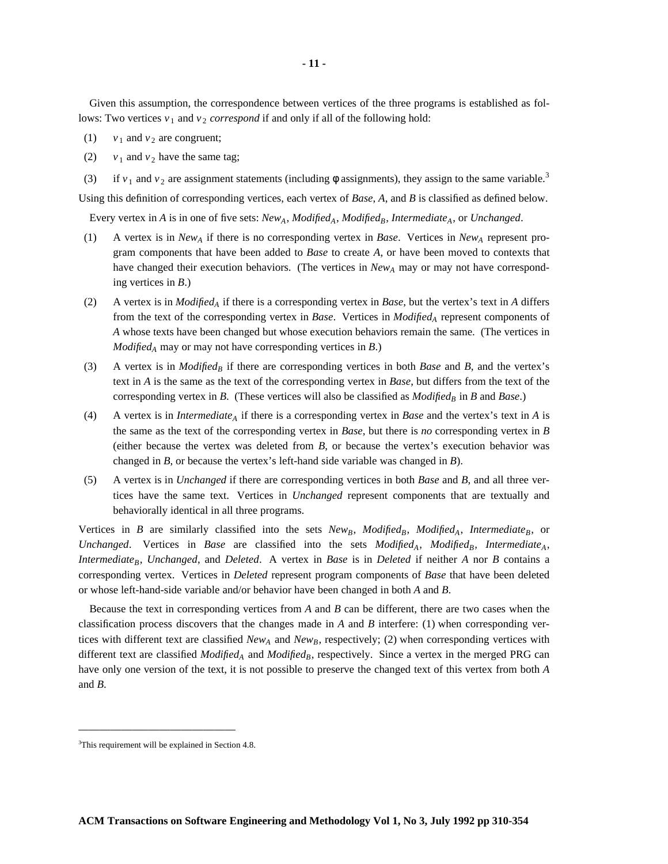Given this assumption, the correspondence between vertices of the three programs is established as follows: Two vertices  $v_1$  and  $v_2$  *correspond* if and only if all of the following hold:

- (1)  $v_1$  and  $v_2$  are congruent;
- (2)  $v_1$  and  $v_2$  have the same tag;
- (3) if  $v_1$  and  $v_2$  are assignment statements (including  $\phi$  assignments), they assign to the same variable.<sup>3</sup>

Using this definition of corresponding vertices, each vertex of *Base*, *A*, and *B* is classified as defined below.

Every vertex in *A* is in one of five sets:  $New_A$ ,  $Modified_A$ ,  $Modified_B$ , Intermediate<sub>A</sub>, or Unchanged.

- (1) A vertex is in  $New_A$  if there is no corresponding vertex in *Base*. Vertices in  $New_A$  represent program components that have been added to *Base* to create *A*, or have been moved to contexts that have changed their execution behaviors. (The vertices in  $New_A$  may or may not have corresponding vertices in *B*.)
- (2) A vertex is in *Modified<sup>A</sup>* if there is a corresponding vertex in *Base*, but the vertex's text in *A* differs from the text of the corresponding vertex in *Base*. Vertices in *Modified<sup>A</sup>* represent components of *A* whose texts have been changed but whose execution behaviors remain the same. (The vertices in *Modified<sup>A</sup>* may or may not have corresponding vertices in *B*.)
- (3) A vertex is in *Modified<sup>B</sup>* if there are corresponding vertices in both *Base* and *B*, and the vertex's text in *A* is the same as the text of the corresponding vertex in *Base*, but differs from the text of the corresponding vertex in  $B$ . (These vertices will also be classified as  $Modified_B$  in  $B$  and  $Base$ .)
- (4) A vertex is in *Intermediate<sup>A</sup>* if there is a corresponding vertex in *Base* and the vertex's text in *A* is the same as the text of the corresponding vertex in *Base*, but there is *no* corresponding vertex in *B* (either because the vertex was deleted from *B*, or because the vertex's execution behavior was changed in *B*, or because the vertex's left-hand side variable was changed in *B*).
- (5) A vertex is in *Unchanged* if there are corresponding vertices in both *Base* and *B*, and all three vertices have the same text. Vertices in *Unchanged* represent components that are textually and behaviorally identical in all three programs.

Vertices in *B* are similarly classified into the sets  $New_B$ ,  $Modified_B$ ,  $Modified_A$ , Intermediate<sub>B</sub>, or *Unchanged.* Vertices in *Base* are classified into the sets *Modified*<sub>A</sub>, *Modified*<sub>B</sub>, *Intermediate*<sub>A</sub>, *IntermediateB*, *Unchanged*, and *Deleted*. A vertex in *Base* is in *Deleted* if neither *A* nor *B* contains a corresponding vertex. Vertices in *Deleted* represent program components of *Base* that have been deleted or whose left-hand-side variable and/or behavior have been changed in both *A* and *B*.

Because the text in corresponding vertices from *A* and *B* can be different, there are two cases when the classification process discovers that the changes made in *A* and *B* interfere: (1) when corresponding vertices with different text are classified  $New_A$  and  $New_B$ , respectively; (2) when corresponding vertices with different text are classified *Modified<sup>A</sup>* and *ModifiedB*, respectively. Since a vertex in the merged PRG can have only one version of the text, it is not possible to preserve the changed text of this vertex from both *A* and *B*.

<sup>3</sup>This requirement will be explained in Section 4.8.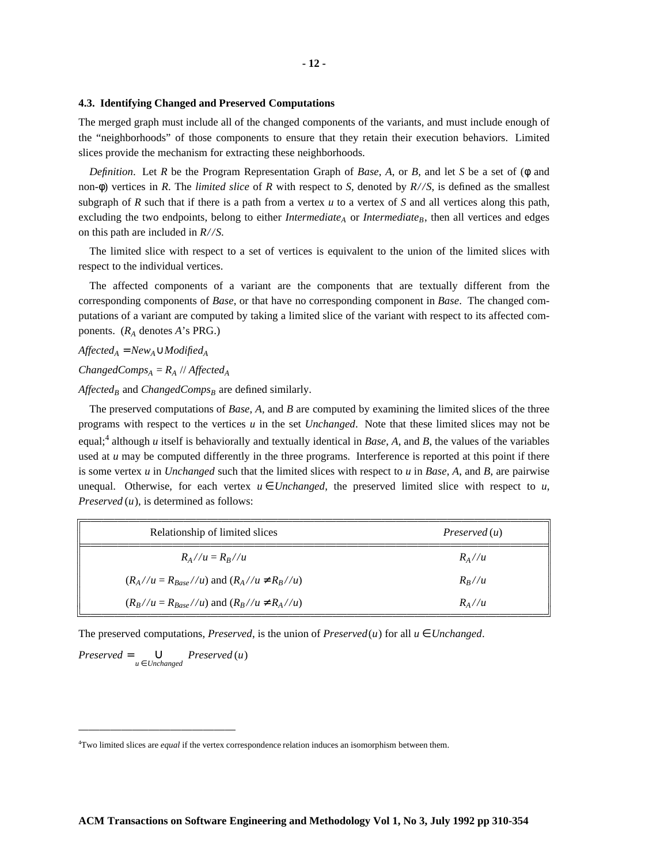**4.3. Identifying Changed and Preserved Computations**

The merged graph must include all of the changed components of the variants, and must include enough of the "neighborhoods" of those components to ensure that they retain their execution behaviors. Limited slices provide the mechanism for extracting these neighborhoods.

*Definition*. Let *R* be the Program Representation Graph of *Base*, *A*, or *B*, and let *S* be a set of (φ and non-φ) vertices in *R*. The *limited slice* of *R* with respect to *S*, denoted by *R//S*, is defined as the smallest subgraph of *R* such that if there is a path from a vertex *u* to a vertex of *S* and all vertices along this path, excluding the two endpoints, belong to either *Intermediate*<sup> $A$ </sup> or *Intermediate*<sup> $B$ </sup>, then all vertices and edges on this path are included in *R//S*.

The limited slice with respect to a set of vertices is equivalent to the union of the limited slices with respect to the individual vertices.

The affected components of a variant are the components that are textually different from the corresponding components of *Base*, or that have no corresponding component in *Base*. The changed computations of a variant are computed by taking a limited slice of the variant with respect to its affected components. (*R<sup>A</sup>* denotes *A*'s PRG.)

 $A \n f \n f \n ected<sub>A</sub> = New<sub>A</sub> \cup Modified<sub>A</sub>$ 

*ChangedComps*<sub>*A*</sub> =  $R_A$  // *Affected*<sub>*A</sub>*</sub>

*Affected<sup>B</sup>* and *ChangedComps<sup>B</sup>* are defined similarly.

The preserved computations of *Base*, *A*, and *B* are computed by examining the limited slices of the three programs with respect to the vertices *u* in the set *Unchanged*. Note that these limited slices may not be equal;<sup>4</sup> although *u* itself is behaviorally and textually identical in *Base*, *A*, and *B*, the values of the variables used at *u* may be computed differently in the three programs. Interference is reported at this point if there is some vertex *u* in *Unchanged* such that the limited slices with respect to *u* in *Base*, *A*, and *B*, are pairwise unequal. Otherwise, for each vertex  $u \in Unchanged$ , the preserved limited slice with respect to *u*, *Preserved* (*u*), is determined as follows:

| Relationship of limited slices                          | Preserved(u)    |
|---------------------------------------------------------|-----------------|
| $R_{A}//u = R_{B}//u$                                   | $R_{\Lambda}/u$ |
| $(R_A//u = R_{Base}//u)$ and $(R_A//u \neq R_B//u)$     | $R_R//u$        |
| $(R_R/\mu = R_{Base}/\mu)$ and $(R_B/\mu \neq R_A/\mu)$ | $R_{\Lambda}/u$ |

--The preserved computations, *Preserved*, is the union of *Preserved*(*u*) for all  $u \in Unchanged$ .

-------------------------------

 $P$ *reserved* =  $\bigcup_{u \in Unchanged}$  *Preserved* (*u*)

-----------------------

<sup>4</sup>Two limited slices are *equal* if the vertex correspondence relation induces an isomorphism between them.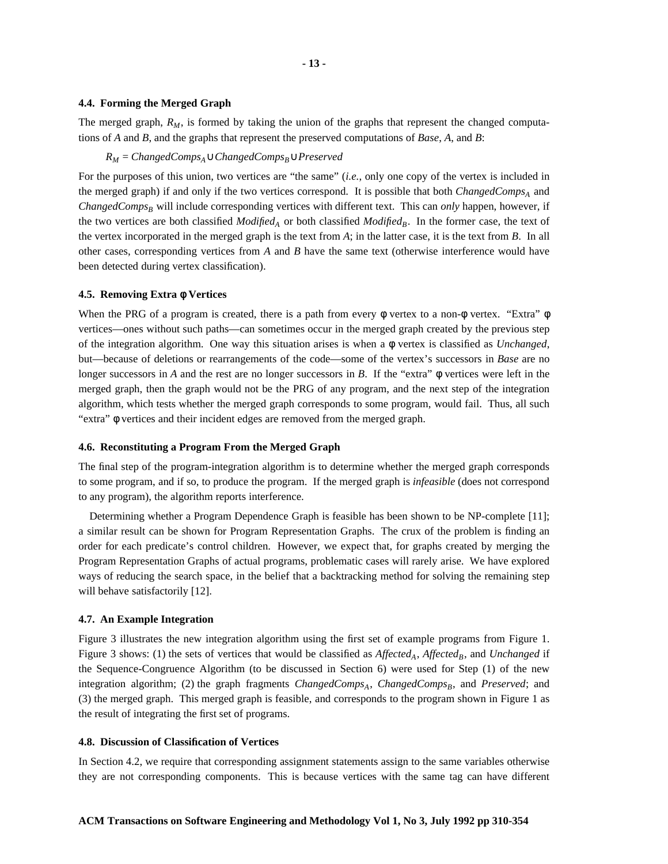#### **4.4. Forming the Merged Graph**

The merged graph,  $R_M$ , is formed by taking the union of the graphs that represent the changed computations of *A* and *B*, and the graphs that represent the preserved computations of *Base*, *A*, and *B*:

#### *R<sup>M</sup>* = *ChangedCompsA*∪*ChangedCompsB*∪*Preserved*

For the purposes of this union, two vertices are "the same" (*i.e.*, only one copy of the vertex is included in the merged graph) if and only if the two vertices correspond. It is possible that both *ChangedComps<sup>A</sup>* and *ChangedComps<sup>B</sup>* will include corresponding vertices with different text. This can *only* happen, however, if the two vertices are both classified *Modified<sup>A</sup>* or both classified *ModifiedB*. In the former case, the text of the vertex incorporated in the merged graph is the text from *A*; in the latter case, it is the text from *B*. In all other cases, corresponding vertices from *A* and *B* have the same text (otherwise interference would have been detected during vertex classification).

#### **4.5. Removing Extra** φ **Vertices**

When the PRG of a program is created, there is a path from every φ vertex to a non-φ vertex. "Extra" φ vertices—ones without such paths—can sometimes occur in the merged graph created by the previous step of the integration algorithm. One way this situation arises is when a φ vertex is classified as *Unchanged*, but—because of deletions or rearrangements of the code—some of the vertex's successors in *Base* are no longer successors in *A* and the rest are no longer successors in *B*. If the "extra" φ vertices were left in the merged graph, then the graph would not be the PRG of any program, and the next step of the integration algorithm, which tests whether the merged graph corresponds to some program, would fail. Thus, all such "extra" φ vertices and their incident edges are removed from the merged graph.

#### **4.6. Reconstituting a Program From the Merged Graph**

The final step of the program-integration algorithm is to determine whether the merged graph corresponds to some program, and if so, to produce the program. If the merged graph is *infeasible* (does not correspond to any program), the algorithm reports interference.

Determining whether a Program Dependence Graph is feasible has been shown to be NP-complete [11]; a similar result can be shown for Program Representation Graphs. The crux of the problem is finding an order for each predicate's control children. However, we expect that, for graphs created by merging the Program Representation Graphs of actual programs, problematic cases will rarely arise. We have explored ways of reducing the search space, in the belief that a backtracking method for solving the remaining step will behave satisfactorily [12].

#### **4.7. An Example Integration**

Figure 3 illustrates the new integration algorithm using the first set of example programs from Figure 1. Figure 3 shows: (1) the sets of vertices that would be classified as  $A \iintected_A$ ,  $A \iintected_B$ , and *Unchanged* if the Sequence-Congruence Algorithm (to be discussed in Section 6) were used for Step (1) of the new integration algorithm; (2) the graph fragments *ChangedComps<sub>A</sub>*, *ChangedComps<sub>B</sub>*, and *Preserved*; and (3) the merged graph. This merged graph is feasible, and corresponds to the program shown in Figure 1 as the result of integrating the first set of programs.

#### **4.8. Discussion of Classification of Vertices**

In Section 4.2, we require that corresponding assignment statements assign to the same variables otherwise they are not corresponding components. This is because vertices with the same tag can have different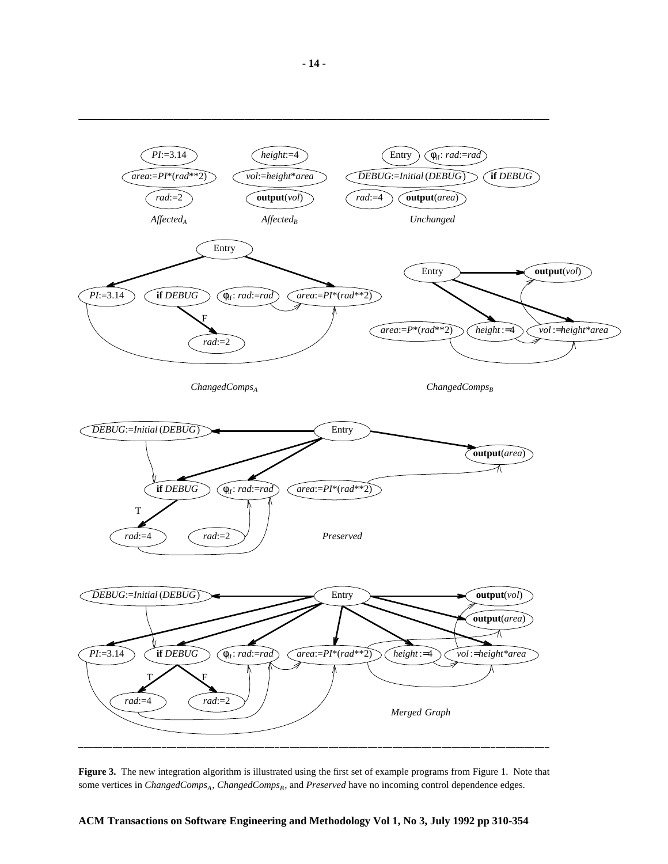

**Figure 3.** The new integration algorithm is illustrated using the first set of example programs from Figure 1. Note that some vertices in *ChangedComps*<sub>*A*</sub>, *ChangedComps*<sub>*B*</sub>, and *Preserved* have no incoming control dependence edges.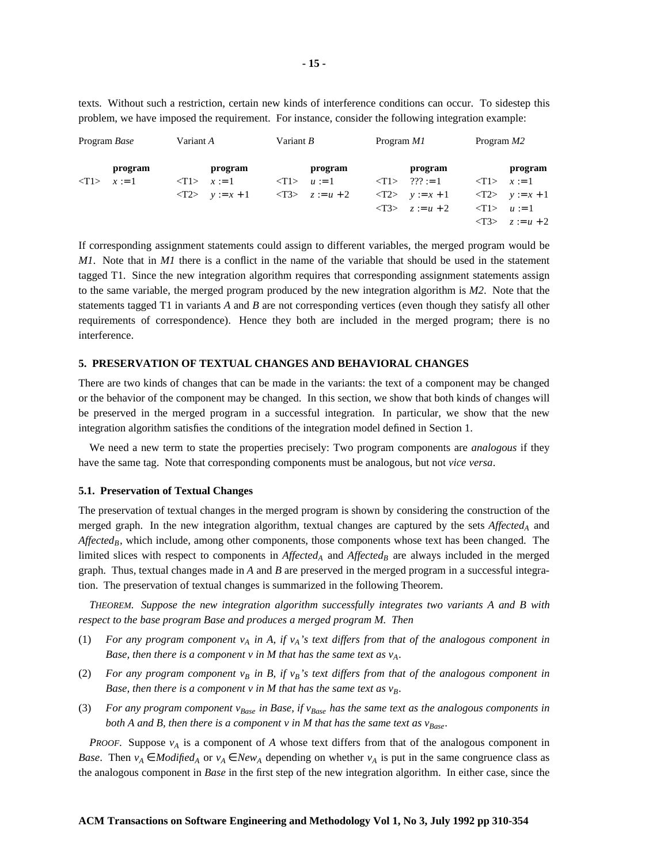texts. Without such a restriction, certain new kinds of interference conditions can occur. To sidestep this problem, we have imposed the requirement. For instance, consider the following integration example:

| Program <i>Base</i>           | Variant A                         | Variant $B$                       | Program M1                        | Program $M2$                      |
|-------------------------------|-----------------------------------|-----------------------------------|-----------------------------------|-----------------------------------|
| program                       | program                           | program                           | program                           | program                           |
| $\langle T1 \rangle$ $x := 1$ | $\langle T1 \rangle$ $x := 1$     | $\langle T1 \rangle$ $u := 1$     | $\langle T1 \rangle$ ??? := 1     | $\langle T1 \rangle$ $x := 1$     |
|                               | $\langle T2 \rangle$ $y := x + 1$ | $\langle T3 \rangle$ $z := u + 2$ | $\langle T2 \rangle$ $y := x + 1$ | $\langle T2 \rangle$ $y := x + 1$ |
|                               |                                   |                                   | $\langle T3 \rangle$ $z := u + 2$ | $\langle T1 \rangle$ $u := 1$     |
|                               |                                   |                                   |                                   | $\langle T3 \rangle$ $z := u + 2$ |
|                               |                                   |                                   |                                   |                                   |

If corresponding assignment statements could assign to different variables, the merged program would be *M1*. Note that in *M1* there is a conflict in the name of the variable that should be used in the statement tagged T1. Since the new integration algorithm requires that corresponding assignment statements assign to the same variable, the merged program produced by the new integration algorithm is *M2*. Note that the statements tagged T1 in variants *A* and *B* are not corresponding vertices (even though they satisfy all other requirements of correspondence). Hence they both are included in the merged program; there is no interference.

#### **5. PRESERVATION OF TEXTUAL CHANGES AND BEHAVIORAL CHANGES**

There are two kinds of changes that can be made in the variants: the text of a component may be changed or the behavior of the component may be changed. In this section, we show that both kinds of changes will be preserved in the merged program in a successful integration. In particular, we show that the new integration algorithm satisfies the conditions of the integration model defined in Section 1.

We need a new term to state the properties precisely: Two program components are *analogous* if they have the same tag. Note that corresponding components must be analogous, but not *vice versa*.

#### **5.1. Preservation of Textual Changes**

The preservation of textual changes in the merged program is shown by considering the construction of the merged graph. In the new integration algorithm, textual changes are captured by the sets *Affected<sup>A</sup>* and *Affected<sub>B</sub>*, which include, among other components, those components whose text has been changed. The limited slices with respect to components in  $\iint \mathbf{A} f \mathbf{f} \cdot d\mathbf{A}$  and  $\iint \mathbf{A} f \cdot d\mathbf{A}$  are always included in the merged graph. Thus, textual changes made in *A* and *B* are preserved in the merged program in a successful integration. The preservation of textual changes is summarized in the following Theorem.

*THEOREM*. *Suppose the new integration algorithm successfully integrates two variants A and B with respect to the base program Base and produces a merged program M. Then*

- (1) For any program component  $v_A$  in A, if  $v_A$ 's text differs from that of the analogous component in *Base, then there is a component v in M that has the same text as vA.*
- (2) For any program component  $v_B$  in B, if  $v_B$ 's text differs from that of the analogous component in *Base, then there is a component v in M that has the same text as vB.*
- (3) For any program component  $v_{Base}$  in Base, if  $v_{Base}$  has the same text as the analogous components in both A and B, then there is a component v in M that has the same text as  $v_{Base}$ .

*PROOF*. Suppose  $v_A$  is a component of *A* whose text differs from that of the analogous component in *Base*. Then  $v_A \in Modified_A$  or  $v_A \in New_A$  depending on whether  $v_A$  is put in the same congruence class as the analogous component in *Base* in the first step of the new integration algorithm. In either case, since the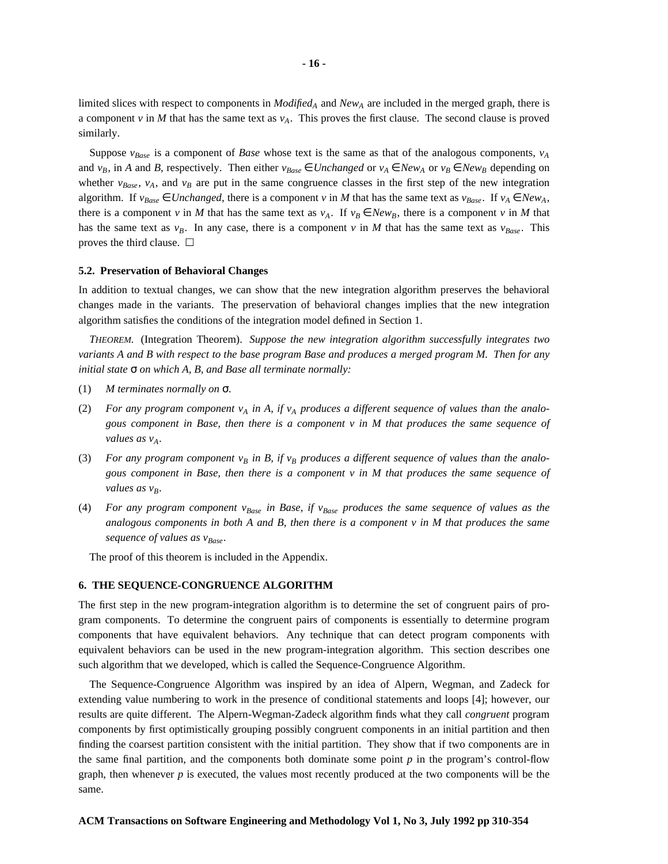limited slices with respect to components in *Modified<sup>A</sup>* and *New<sup>A</sup>* are included in the merged graph, there is a component *v* in *M* that has the same text as  $v_A$ . This proves the first clause. The second clause is proved similarly.

Suppose  $v_{Base}$  is a component of *Base* whose text is the same as that of the analogous components,  $v_A$ and  $v_B$ , in *A* and *B*, respectively. Then either  $v_{Base} \in Unchanged$  or  $v_A \in New_A$  or  $v_B \in New_B$  depending on whether  $v_{Base}$ ,  $v_A$ , and  $v_B$  are put in the same congruence classes in the first step of the new integration algorithm. If  $v_{Base} \in Unchanged$ , there is a component *v* in *M* that has the same text as  $v_{Base}$ . If  $v_A \in New_A$ , there is a component *v* in *M* that has the same text as  $v_A$ . If  $v_B \in New_B$ , there is a component *v* in *M* that has the same text as  $v_B$ . In any case, there is a component  $v$  in *M* that has the same text as  $v_{Base}$ . This proves the third clause.  $\square$ 

#### **5.2. Preservation of Behavioral Changes**

In addition to textual changes, we can show that the new integration algorithm preserves the behavioral changes made in the variants. The preservation of behavioral changes implies that the new integration algorithm satisfies the conditions of the integration model defined in Section 1.

*THEOREM*. (Integration Theorem). *Suppose the new integration algorithm successfully integrates two* variants A and B with respect to the base program Base and produces a merged program M. Then for any *initial state* σ *on which A, B, and Base all terminate normally:*

- (1) *M terminates normally on* σ*.*
- (2) For any program component  $v_A$  in A, if  $v_A$  produces a different sequence of values than the analo*gous component in Base, then there is a component v in M that produces the same sequence of values* as  $v_A$ .
- (3) For any program component  $v_B$  in B, if  $v_B$  produces a different sequence of values than the analo*gous component in Base, then there is a component v in M that produces the same sequence of values* as  $v_B$ *.*
- (4) For any program component  $v_{Base}$  in Base, if  $v_{Base}$  produces the same sequence of values as the analogous components in both  $A$  and  $B$ , then there is a component  $v$  in  $M$  that produces the same *sequence of values as vBase.*

The proof of this theorem is included in the Appendix.

#### **6. THE SEQUENCE-CONGRUENCE ALGORITHM**

The first step in the new program-integration algorithm is to determine the set of congruent pairs of program components. To determine the congruent pairs of components is essentially to determine program components that have equivalent behaviors. Any technique that can detect program components with equivalent behaviors can be used in the new program-integration algorithm. This section describes one such algorithm that we developed, which is called the Sequence-Congruence Algorithm.

The Sequence-Congruence Algorithm was inspired by an idea of Alpern, Wegman, and Zadeck for extending value numbering to work in the presence of conditional statements and loops [4]; however, our results are quite different. The Alpern-Wegman-Zadeck algorithm finds what they call *congruent* program components by first optimistically grouping possibly congruent components in an initial partition and then finding the coarsest partition consistent with the initial partition. They show that if two components are in the same final partition, and the components both dominate some point  $p$  in the program's control-flow graph, then whenever  $p$  is executed, the values most recently produced at the two components will be the same.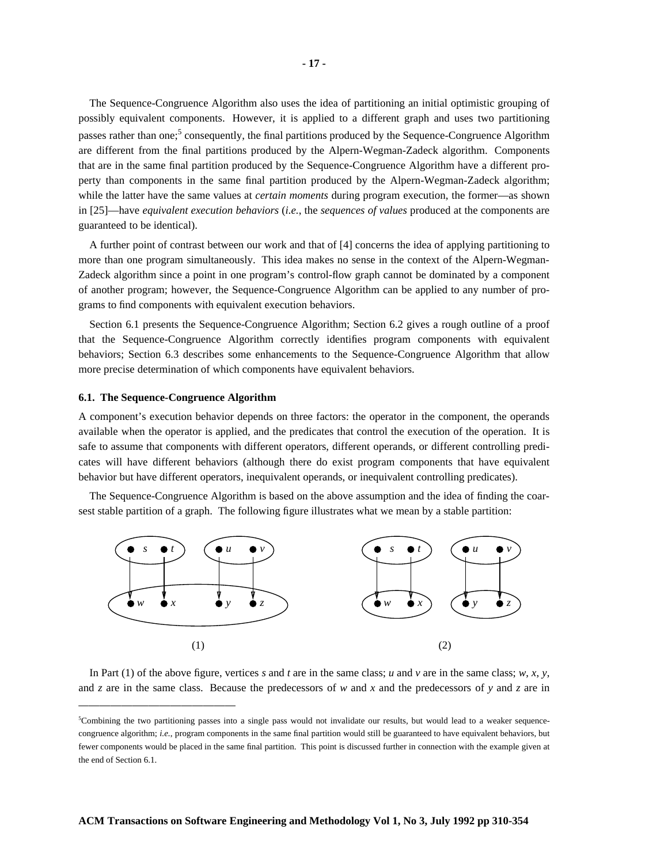The Sequence-Congruence Algorithm also uses the idea of partitioning an initial optimistic grouping of possibly equivalent components. However, it is applied to a different graph and uses two partitioning passes rather than one;<sup>5</sup> consequently, the final partitions produced by the Sequence-Congruence Algorithm are different from the final partitions produced by the Alpern-Wegman-Zadeck algorithm. Components that are in the same final partition produced by the Sequence-Congruence Algorithm have a different property than components in the same final partition produced by the Alpern-Wegman-Zadeck algorithm; while the latter have the same values at *certain moments* during program execution, the former—as shown in [25]—have *equivalent execution behaviors* (*i.e.*, the *sequences of values* produced at the components are guaranteed to be identical).

A further point of contrast between our work and that of [4] concerns the idea of applying partitioning to more than one program simultaneously. This idea makes no sense in the context of the Alpern-Wegman-Zadeck algorithm since a point in one program's control-flow graph cannot be dominated by a component of another program; however, the Sequence-Congruence Algorithm can be applied to any number of programs to find components with equivalent execution behaviors.

Section 6.1 presents the Sequence-Congruence Algorithm; Section 6.2 gives a rough outline of a proof that the Sequence-Congruence Algorithm correctly identifies program components with equivalent behaviors; Section 6.3 describes some enhancements to the Sequence-Congruence Algorithm that allow more precise determination of which components have equivalent behaviors.

#### **6.1. The Sequence-Congruence Algorithm**

A component's execution behavior depends on three factors: the operator in the component, the operands available when the operator is applied, and the predicates that control the execution of the operation. It is safe to assume that components with different operators, different operands, or different controlling predicates will have different behaviors (although there do exist program components that have equivalent behavior but have different operators, inequivalent operands, or inequivalent controlling predicates).

The Sequence-Congruence Algorithm is based on the above assumption and the idea of finding the coarsest stable partition of a graph. The following figure illustrates what we mean by a stable partition:



In Part (1) of the above figure, vertices *s* and *t* are in the same class; *u* and *v* are in the same class; *w*, *x*, *y*, and *z* are in the same class. Because the predecessors of *w* and *x* and the predecessors of *y* and *z* are in

<sup>5</sup>Combining the two partitioning passes into a single pass would not invalidate our results, but would lead to a weaker sequencecongruence algorithm; *i.e.*, program components in the same final partition would still be guaranteed to have equivalent behaviors, but fewer components would be placed in the same final partition. This point is discussed further in connection with the example given at the end of Section 6.1.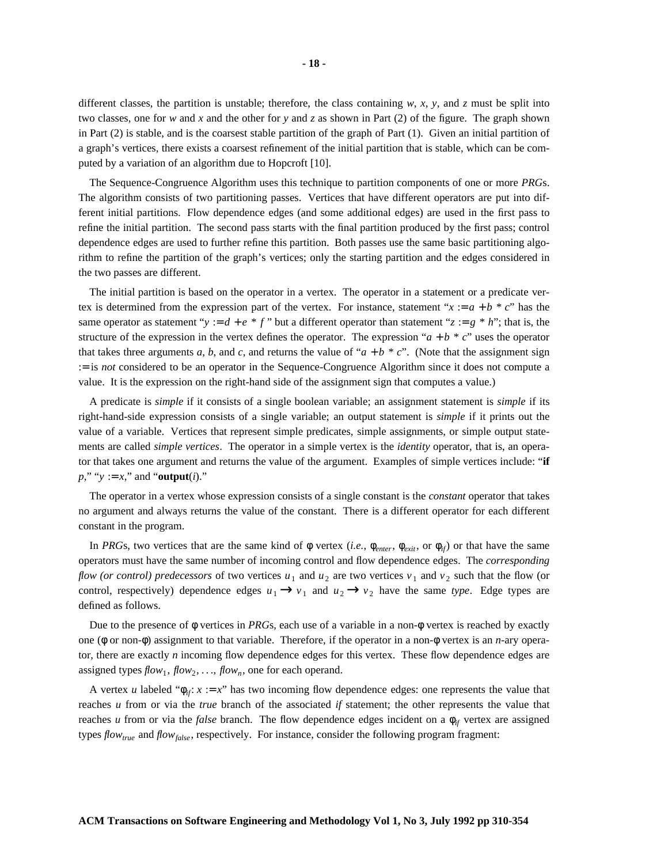different classes, the partition is unstable; therefore, the class containing  $w$ ,  $x$ ,  $y$ , and  $z$  must be split into two classes, one for *w* and *x* and the other for *y* and *z* as shown in Part (2) of the figure. The graph shown in Part (2) is stable, and is the coarsest stable partition of the graph of Part (1). Given an initial partition of a graph's vertices, there exists a coarsest refinement of the initial partition that is stable, which can be computed by a variation of an algorithm due to Hopcroft [10].

The Sequence-Congruence Algorithm uses this technique to partition components of one or more *PRG*s. The algorithm consists of two partitioning passes. Vertices that have different operators are put into different initial partitions. Flow dependence edges (and some additional edges) are used in the first pass to refine the initial partition. The second pass starts with the final partition produced by the first pass; control dependence edges are used to further refine this partition. Both passes use the same basic partitioning algorithm to refine the partition of the graph's vertices; only the starting partition and the edges considered in the two passes are different.

The initial partition is based on the operator in a vertex. The operator in a statement or a predicate vertex is determined from the expression part of the vertex. For instance, statement " $x := a + b * c$ " has the same operator as statement "*y* :=  $d + e * f$ " but a different operator than statement " $z := g * h$ "; that is, the structure of the expression in the vertex defines the operator. The expression " $a + b * c$ " uses the operator that takes three arguments *a*, *b*, and *c*, and returns the value of " $a + b * c$ ". (Note that the assignment sign := is *not* considered to be an operator in the Sequence-Congruence Algorithm since it does not compute a value. It is the expression on the right-hand side of the assignment sign that computes a value.)

A predicate is *simple* if it consists of a single boolean variable; an assignment statement is *simple* if its right-hand-side expression consists of a single variable; an output statement is *simple* if it prints out the value of a variable. Vertices that represent simple predicates, simple assignments, or simple output statements are called *simple vertices*. The operator in a simple vertex is the *identity* operator, that is, an operator that takes one argument and returns the value of the argument. Examples of simple vertices include: "**if**  $p''$ , " $y := x''$ , and "**output**(*i*)."

The operator in a vertex whose expression consists of a single constant is the *constant* operator that takes no argument and always returns the value of the constant. There is a different operator for each different constant in the program.

In *PRG*s, two vertices that are the same kind of  $\phi$  vertex (*i.e.*,  $\phi_{enter}$ ,  $\phi_{exit}$ , or  $\phi_{if}$ ) or that have the same operators must have the same number of incoming control and flow dependence edges. The *corresponding flow (or control) predecessors* of two vertices  $u_1$  and  $u_2$  are two vertices  $v_1$  and  $v_2$  such that the flow (or control, respectively) dependence edges  $u_1 \rightarrow v_1$  and  $u_2 \rightarrow v_2$  have the same *type*. Edge types are defined as follows.

Due to the presence of  $\phi$  vertices in *PRG*s, each use of a variable in a non- $\phi$  vertex is reached by exactly one (φ or non-φ) assignment to that variable. Therefore, if the operator in a non-φ vertex is an *n*-ary operator, there are exactly *n* incoming flow dependence edges for this vertex. These flow dependence edges are assigned types  $flow_1$ ,  $flow_2$ , ...,  $flow_n$ , one for each operand.

A vertex *u* labeled " $\phi_{ii}$ :  $x := x$ " has two incoming flow dependence edges: one represents the value that reaches *u* from or via the *true* branch of the associated *if* statement; the other represents the value that reaches *u* from or via the *false* branch. The flow dependence edges incident on a  $\phi_{if}$  vertex are assigned types *flowtrue* and *flowfalse* , respectively. For instance, consider the following program fragment: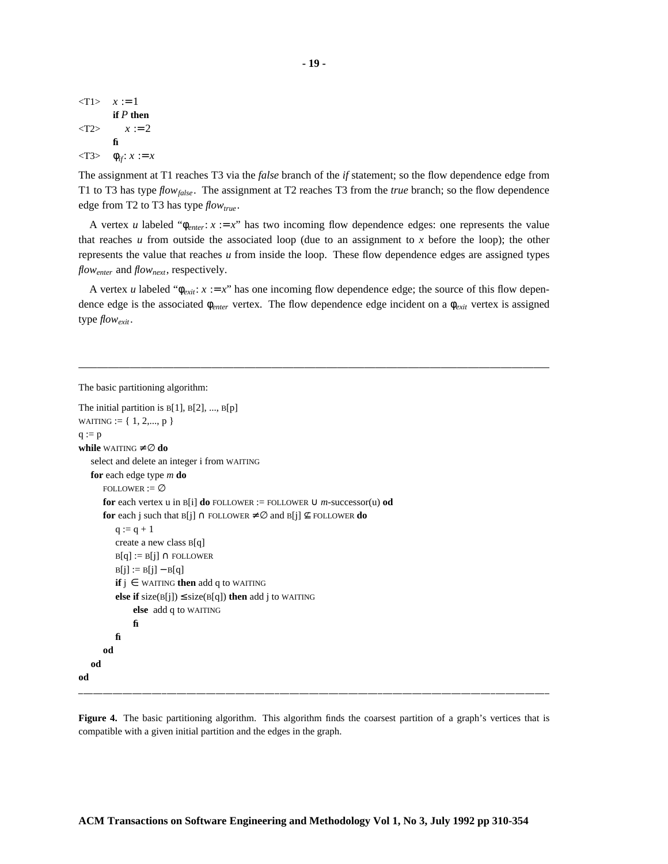$<$ T1>  $x := 1$ **if** *P* **then**  $<sub>12</sub> *x* := 2$ </sub> **fi**  $\langle$ T3>  $\phi_{if}$ : *x* := *x* 

The assignment at T1 reaches T3 via the *false* branch of the *if* statement; so the flow dependence edge from T1 to T3 has type *flowfalse* . The assignment at T2 reaches T3 from the *true* branch; so the flow dependence edge from T2 to T3 has type *flowtrue* .

A vertex *u* labeled " $\phi_{enter}$ :  $x := x$ " has two incoming flow dependence edges: one represents the value that reaches  $u$  from outside the associated loop (due to an assignment to  $x$  before the loop); the other represents the value that reaches *u* from inside the loop. These flow dependence edges are assigned types *flowenter* and *flownext*, respectively.

A vertex *u* labeled " $\phi_{exit}: x := x$ " has one incoming flow dependence edge; the source of this flow dependence edge is the associated φ*enter* vertex. The flow dependence edge incident on a φ*exit* vertex is assigned type *flowexit*.

```
The basic partitioning algorithm:
```

```
The initial partition is B[1], B[2], ..., B[p]WAITING := \{1, 2, \ldots, p\}q := pwhile WAITING \neq \emptyset do
   select and delete an integer i from WAITING
   for each edge type m do
       FOLLOWER := \varnothingfor each vertex u in B[i] do FOLLOWER := FOLLOWER \cup m-successor(u) od
       for each j such that B[j] \cap \text{FOLLOWER} \neq \emptyset and B[j] \not\subseteq \text{FOLLOWER} do
          q := q + 1create a new class B[q]
          B[q] := B[j] \cap \text{FOLLOWER}B[j] := B[j] - B[q]if j \in WAITING then add q to WAITING
          else if size(B[j]) \leq size(B[q]) then add j to WAITING
               else add q to WAITING
               fi
          fi
       od
   od
od
```
**Figure 4.** The basic partitioning algorithm. This algorithm finds the coarsest partition of a graph's vertices that is compatible with a given initial partition and the edges in the graph.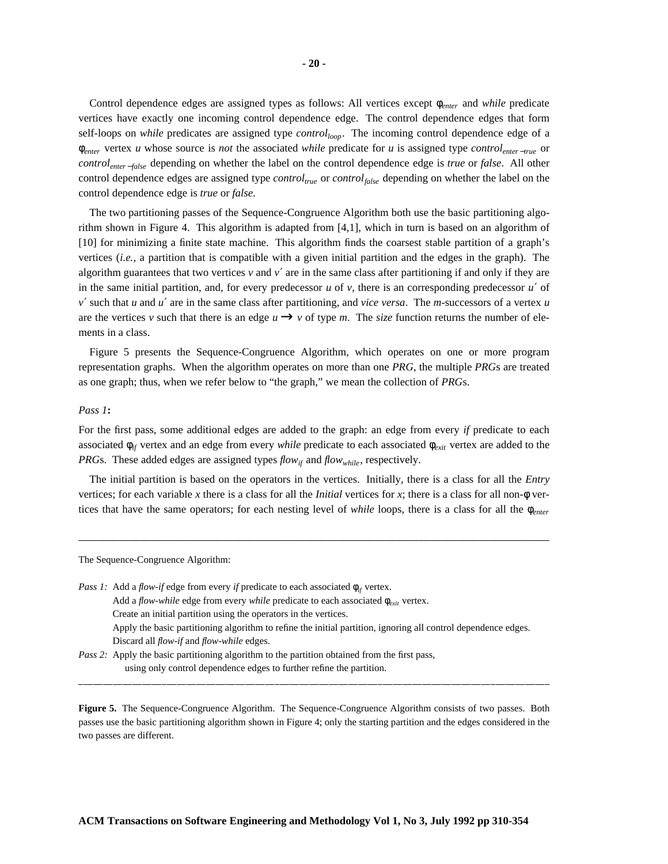Control dependence edges are assigned types as follows: All vertices except φ*enter* and *while* predicate vertices have exactly one incoming control dependence edge. The control dependence edges that form self-loops on *while* predicates are assigned type *controlloop*. The incoming control dependence edge of a φ*enter* vertex *u* whose source is *not* the associated *while* predicate for *u* is assigned type *controlenter* <sup>−</sup>*true* or *controlenter* <sup>−</sup>*false* depending on whether the label on the control dependence edge is *true* or *false*. All other control dependence edges are assigned type *controltrue* or *controlfalse* depending on whether the label on the control dependence edge is *true* or *false*.

The two partitioning passes of the Sequence-Congruence Algorithm both use the basic partitioning algorithm shown in Figure 4. This algorithm is adapted from [4,1], which in turn is based on an algorithm of [10] for minimizing a finite state machine. This algorithm finds the coarsest stable partition of a graph's vertices (*i.e.*, a partition that is compatible with a given initial partition and the edges in the graph). The algorithm guarantees that two vertices  $\nu$  and  $\nu'$  are in the same class after partitioning if and only if they are in the same initial partition, and, for every predecessor *u* of *v*, there is an corresponding predecessor *u*′ of *v*′ such that *u* and *u*′ are in the same class after partitioning, and *vice versa*. The *m*-successors of a vertex *u* are the vertices *v* such that there is an edge  $u \rightarrow v$  of type *m*. The *size* function returns the number of elements in a class.

Figure 5 presents the Sequence-Congruence Algorithm, which operates on one or more program representation graphs. When the algorithm operates on more than one *PRG*, the multiple *PRG*s are treated as one graph; thus, when we refer below to "the graph," we mean the collection of *PRG*s.

#### *Pass 1***:**

For the first pass, some additional edges are added to the graph: an edge from every *if* predicate to each associated  $\phi_{if}$  vertex and an edge from every *while* predicate to each associated  $\phi_{exit}$  vertex are added to the *PRG*s. These added edges are assigned types  $flow_{if}$  and  $flow_{while}$ , respectively.

The initial partition is based on the operators in the vertices. Initially, there is a class for all the *Entry* vertices; for each variable *x* there is a class for all the *Initial* vertices for *x*; there is a class for all non-φ vertices that have the same operators; for each nesting level of *while* loops, there is a class for all the φ*enter*

The Sequence-Congruence Algorithm:

*Pass 1:* Add a *flow-if* edge from every *if* predicate to each associated  $\phi_{if}$  vertex. Add a *flow-while* edge from every *while* predicate to each associated  $\phi_{\text{exit}}$  vertex. Create an initial partition using the operators in the vertices. Apply the basic partitioning algorithm to refine the initial partition, ignoring all control dependence edges. Discard all *flow-if* and *flow-while* edges. *Pass 2:* Apply the basic partitioning algorithm to the partition obtained from the first pass,

using only control dependence edges to further refine the partition.

**Figure 5.** The Sequence-Congruence Algorithm. The Sequence-Congruence Algorithm consists of two passes. Both passes use the basic partitioning algorithm shown in Figure 4; only the starting partition and the edges considered in the two passes are different.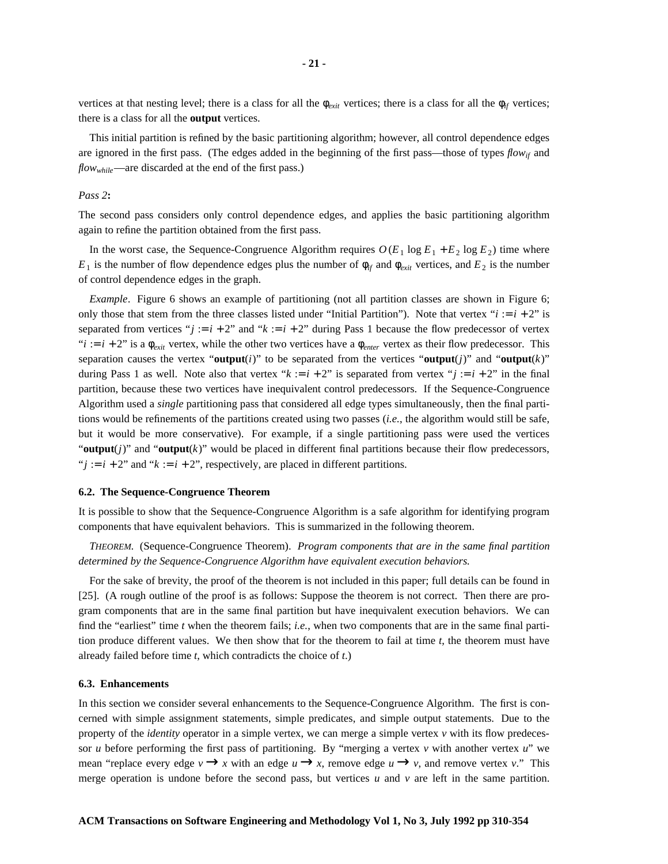vertices at that nesting level; there is a class for all the  $\phi_{exit}$  vertices; there is a class for all the  $\phi_{if}$  vertices; there is a class for all the **output** vertices.

This initial partition is refined by the basic partitioning algorithm; however, all control dependence edges are ignored in the first pass. (The edges added in the beginning of the first pass—those of types *flowif* and *flowwhile*—are discarded at the end of the first pass.)

#### *Pass 2***:**

The second pass considers only control dependence edges, and applies the basic partitioning algorithm again to refine the partition obtained from the first pass.

In the worst case, the Sequence-Congruence Algorithm requires  $O(E_1 \log E_1 + E_2 \log E_2)$  time where  $E_1$  is the number of flow dependence edges plus the number of  $\phi_{if}$  and  $\phi_{exit}$  vertices, and  $E_2$  is the number of control dependence edges in the graph.

*Example*. Figure 6 shows an example of partitioning (not all partition classes are shown in Figure 6; only those that stem from the three classes listed under "Initial Partition"). Note that vertex " $i := i + 2$ " is separated from vertices " $j := i + 2$ " and " $k := i + 2$ " during Pass 1 because the flow predecessor of vertex "*i* :=  $i + 2$ " is a  $\phi_{exit}$  vertex, while the other two vertices have a  $\phi_{enter}$  vertex as their flow predecessor. This separation causes the vertex "**output**(*i*)" to be separated from the vertices "**output**(*i*)" and "**output**(*k*)" during Pass 1 as well. Note also that vertex " $k := i + 2$ " is separated from vertex " $j := i + 2$ " in the final partition, because these two vertices have inequivalent control predecessors. If the Sequence-Congruence Algorithm used a *single* partitioning pass that considered all edge types simultaneously, then the final partitions would be refinements of the partitions created using two passes (*i.e.*, the algorithm would still be safe, but it would be more conservative). For example, if a single partitioning pass were used the vertices " $output(j)$ " and " $output(k)$ " would be placed in different final partitions because their flow predecessors, " $j := i + 2$ " and " $k := i + 2$ ", respectively, are placed in different partitions.

#### **6.2. The Sequence-Congruence Theorem**

It is possible to show that the Sequence-Congruence Algorithm is a safe algorithm for identifying program components that have equivalent behaviors. This is summarized in the following theorem.

*THEOREM*. (Sequence-Congruence Theorem). *Program components that are in the same final partition determined by the Sequence-Congruence Algorithm have equivalent execution behaviors.*

For the sake of brevity, the proof of the theorem is not included in this paper; full details can be found in [25]. (A rough outline of the proof is as follows: Suppose the theorem is not correct. Then there are program components that are in the same final partition but have inequivalent execution behaviors. We can find the "earliest" time *t* when the theorem fails; *i.e.*, when two components that are in the same final partition produce different values. We then show that for the theorem to fail at time *t*, the theorem must have already failed before time *t*, which contradicts the choice of *t*.)

#### **6.3. Enhancements**

In this section we consider several enhancements to the Sequence-Congruence Algorithm. The first is concerned with simple assignment statements, simple predicates, and simple output statements. Due to the property of the *identity* operator in a simple vertex, we can merge a simple vertex *v* with its flow predecessor *u* before performing the first pass of partitioning. By "merging a vertex *v* with another vertex *u*" we mean "replace every edge  $v \rightarrow x$  with an edge  $u \rightarrow x$ , remove edge  $u \rightarrow v$ , and remove vertex *v*." This merge operation is undone before the second pass, but vertices  $u$  and  $v$  are left in the same partition.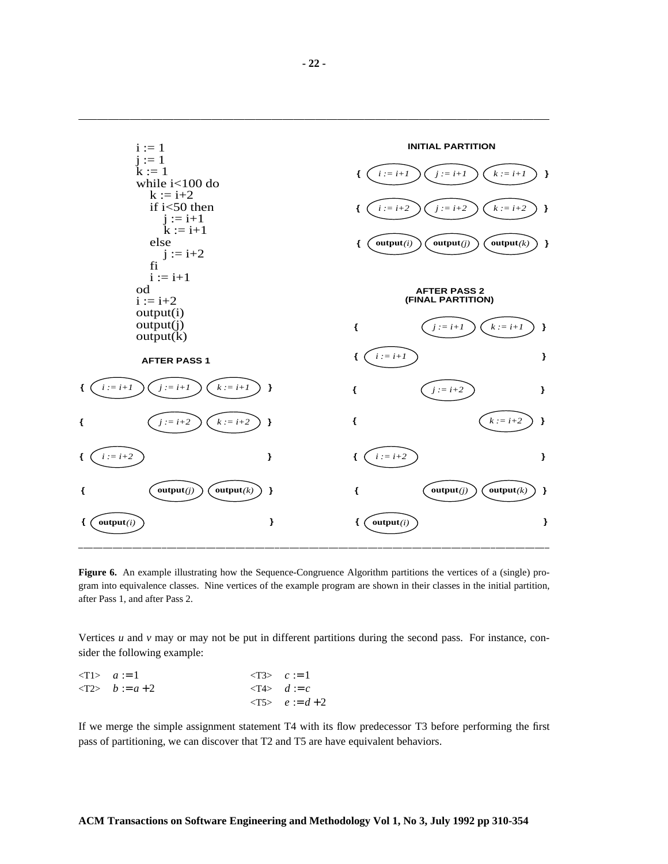

**Figure 6.** An example illustrating how the Sequence-Congruence Algorithm partitions the vertices of a (single) program into equivalence classes. Nine vertices of the example program are shown in their classes in the initial partition, after Pass 1, and after Pass 2.

Vertices *u* and *v* may or may not be put in different partitions during the second pass. For instance, consider the following example:

$$
\begin{aligned}\n&\langle T1 \rangle \quad a := 1 &&\langle T3 \rangle \quad c := 1 \\
&\langle T2 \rangle \quad b := a + 2 &&\langle T4 \rangle \quad d := c \\
&\langle T5 \rangle \quad e := d + 2\n\end{aligned}
$$

If we merge the simple assignment statement T4 with its flow predecessor T3 before performing the first pass of partitioning, we can discover that T2 and T5 are have equivalent behaviors.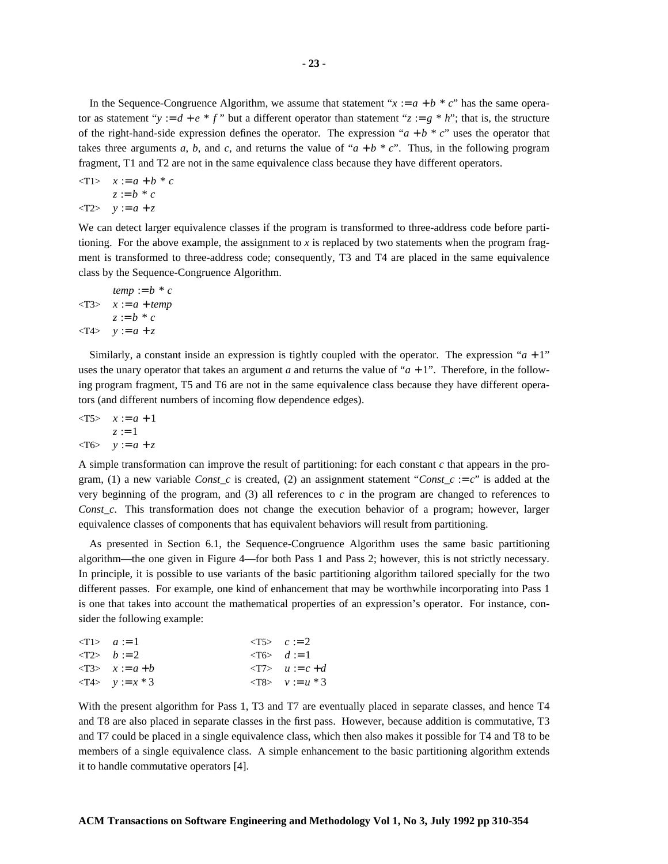In the Sequence-Congruence Algorithm, we assume that statement " $x := a + b * c$ " has the same operator as statement "*y* :=  $d + e * f$ " but a different operator than statement " $z := g * h$ "; that is, the structure of the right-hand-side expression defines the operator. The expression " $a + b * c$ " uses the operator that takes three arguments *a*, *b*, and *c*, and returns the value of " $a + b * c$ ". Thus, in the following program fragment, T1 and T2 are not in the same equivalence class because they have different operators.

$$
\begin{aligned}\n <\text{T1} > x := a + b * c \\
 & z := b * c \\
 <\text{T2} > y := a + z\n \end{aligned}
$$

We can detect larger equivalence classes if the program is transformed to three-address code before partitioning. For the above example, the assignment to *x* is replaced by two statements when the program fragment is transformed to three-address code; consequently, T3 and T4 are placed in the same equivalence class by the Sequence-Congruence Algorithm.

$$
temp := b * c
$$
  

$$
\langle T3 \rangle \quad x := a + temp
$$
  

$$
z := b * c
$$
  

$$
\langle T4 \rangle \quad y := a + z
$$

Similarly, a constant inside an expression is tightly coupled with the operator. The expression " $a + 1$ " uses the unary operator that takes an argument *a* and returns the value of " $a + 1$ ". Therefore, in the following program fragment, T5 and T6 are not in the same equivalence class because they have different operators (and different numbers of incoming flow dependence edges).

 $\langle T5 \rangle$   $x := a + 1$  $z := 1$  $<$ T6>  $y := a + z$ 

A simple transformation can improve the result of partitioning: for each constant *c* that appears in the program, (1) a new variable *Const\_c* is created, (2) an assignment statement "*Const\_c* := *c*" is added at the very beginning of the program, and  $(3)$  all references to  $c$  in the program are changed to references to *Const\_c*. This transformation does not change the execution behavior of a program; however, larger equivalence classes of components that has equivalent behaviors will result from partitioning.

As presented in Section 6.1, the Sequence-Congruence Algorithm uses the same basic partitioning algorithm—the one given in Figure 4—for both Pass 1 and Pass 2; however, this is not strictly necessary. In principle, it is possible to use variants of the basic partitioning algorithm tailored specially for the two different passes. For example, one kind of enhancement that may be worthwhile incorporating into Pass 1 is one that takes into account the mathematical properties of an expression's operator. For instance, consider the following example:

| $\langle T1 \rangle$ $a := 1$     | $\langle T5 \rangle$ $c := 2$            |
|-----------------------------------|------------------------------------------|
| $\langle T2 \rangle$ $b := 2$     | $\langle T6 \rangle$ d := 1              |
| $\langle T3 \rangle$ $x := a + b$ | $\langle T7 \rangle$ $u := c + d$        |
| $\langle T4 \rangle$ $y := x * 3$ | $\langle \text{T8} \rangle$ $v := u * 3$ |

With the present algorithm for Pass 1, T3 and T7 are eventually placed in separate classes, and hence T4 and T8 are also placed in separate classes in the first pass. However, because addition is commutative, T3 and T7 could be placed in a single equivalence class, which then also makes it possible for T4 and T8 to be members of a single equivalence class. A simple enhancement to the basic partitioning algorithm extends it to handle commutative operators [4].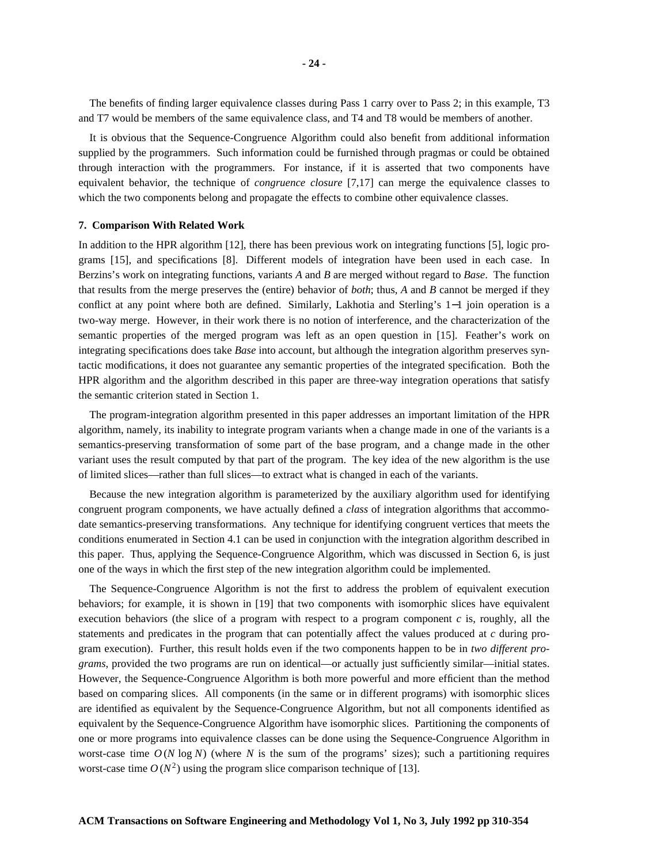The benefits of finding larger equivalence classes during Pass 1 carry over to Pass 2; in this example, T3 and T7 would be members of the same equivalence class, and T4 and T8 would be members of another.

It is obvious that the Sequence-Congruence Algorithm could also benefit from additional information supplied by the programmers. Such information could be furnished through pragmas or could be obtained through interaction with the programmers. For instance, if it is asserted that two components have equivalent behavior, the technique of *congruence closure* [7,17] can merge the equivalence classes to which the two components belong and propagate the effects to combine other equivalence classes.

#### **7. Comparison With Related Work**

In addition to the HPR algorithm [12], there has been previous work on integrating functions [5], logic programs [15], and specifications [8]. Different models of integration have been used in each case. In Berzins's work on integrating functions, variants *A* and *B* are merged without regard to *Base*. The function that results from the merge preserves the (entire) behavior of *both*; thus, *A* and *B* cannot be merged if they conflict at any point where both are defined. Similarly, Lakhotia and Sterling's 1−1 join operation is a two-way merge. However, in their work there is no notion of interference, and the characterization of the semantic properties of the merged program was left as an open question in [15]. Feather's work on integrating specifications does take *Base* into account, but although the integration algorithm preserves syntactic modifications, it does not guarantee any semantic properties of the integrated specification. Both the HPR algorithm and the algorithm described in this paper are three-way integration operations that satisfy the semantic criterion stated in Section 1.

The program-integration algorithm presented in this paper addresses an important limitation of the HPR algorithm, namely, its inability to integrate program variants when a change made in one of the variants is a semantics-preserving transformation of some part of the base program, and a change made in the other variant uses the result computed by that part of the program. The key idea of the new algorithm is the use of limited slices—rather than full slices—to extract what is changed in each of the variants.

Because the new integration algorithm is parameterized by the auxiliary algorithm used for identifying congruent program components, we have actually defined a *class* of integration algorithms that accommodate semantics-preserving transformations. Any technique for identifying congruent vertices that meets the conditions enumerated in Section 4.1 can be used in conjunction with the integration algorithm described in this paper. Thus, applying the Sequence-Congruence Algorithm, which was discussed in Section 6, is just one of the ways in which the first step of the new integration algorithm could be implemented.

The Sequence-Congruence Algorithm is not the first to address the problem of equivalent execution behaviors; for example, it is shown in [19] that two components with isomorphic slices have equivalent execution behaviors (the slice of a program with respect to a program component *c* is, roughly, all the statements and predicates in the program that can potentially affect the values produced at *c* during program execution). Further, this result holds even if the two components happen to be in *two different programs*, provided the two programs are run on identical—or actually just sufficiently similar—initial states. However, the Sequence-Congruence Algorithm is both more powerful and more efficient than the method based on comparing slices. All components (in the same or in different programs) with isomorphic slices are identified as equivalent by the Sequence-Congruence Algorithm, but not all components identified as equivalent by the Sequence-Congruence Algorithm have isomorphic slices. Partitioning the components of one or more programs into equivalence classes can be done using the Sequence-Congruence Algorithm in worst-case time  $O(N \log N)$  (where N is the sum of the programs' sizes); such a partitioning requires worst-case time  $O(N^2)$  using the program slice comparison technique of [13].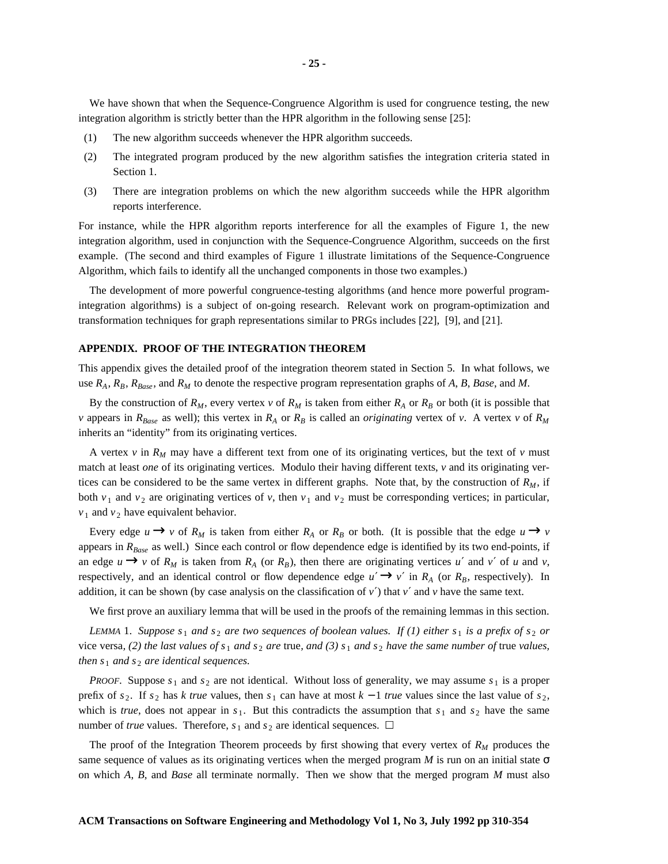We have shown that when the Sequence-Congruence Algorithm is used for congruence testing, the new integration algorithm is strictly better than the HPR algorithm in the following sense [25]:

- (1) The new algorithm succeeds whenever the HPR algorithm succeeds.
- (2) The integrated program produced by the new algorithm satisfies the integration criteria stated in Section 1.
- (3) There are integration problems on which the new algorithm succeeds while the HPR algorithm reports interference.

For instance, while the HPR algorithm reports interference for all the examples of Figure 1, the new integration algorithm, used in conjunction with the Sequence-Congruence Algorithm, succeeds on the first example. (The second and third examples of Figure 1 illustrate limitations of the Sequence-Congruence Algorithm, which fails to identify all the unchanged components in those two examples.)

The development of more powerful congruence-testing algorithms (and hence more powerful programintegration algorithms) is a subject of on-going research. Relevant work on program-optimization and transformation techniques for graph representations similar to PRGs includes [22], [9], and [21].

#### **APPENDIX. PROOF OF THE INTEGRATION THEOREM**

This appendix gives the detailed proof of the integration theorem stated in Section 5. In what follows, we use  $R_A$ ,  $R_B$ ,  $R_{Base}$ , and  $R_M$  to denote the respective program representation graphs of A, B, Base, and M.

By the construction of  $R_M$ , every vertex *v* of  $R_M$  is taken from either  $R_A$  or  $R_B$  or both (it is possible that *v* appears in  $R_{Base}$  as well); this vertex in  $R_A$  or  $R_B$  is called an *originating* vertex of *v*. A vertex *v* of  $R_M$ inherits an "identity" from its originating vertices.

A vertex *v* in  $R_M$  may have a different text from one of its originating vertices, but the text of *v* must match at least *one* of its originating vertices. Modulo their having different texts, *v* and its originating vertices can be considered to be the same vertex in different graphs. Note that, by the construction of  $R_M$ , if both  $v_1$  and  $v_2$  are originating vertices of *v*, then  $v_1$  and  $v_2$  must be corresponding vertices; in particular,  $v_1$  and  $v_2$  have equivalent behavior.

Every edge  $u \rightarrow v$  of  $R_M$  is taken from either  $R_A$  or  $R_B$  or both. (It is possible that the edge  $u \rightarrow v$ appears in *RBase* as well.) Since each control or flow dependence edge is identified by its two end-points, if an edge  $u \rightarrow v$  of  $R_M$  is taken from  $R_A$  (or  $R_B$ ), then there are originating vertices *u'* and *v'* of *u* and *v*, respectively, and an identical control or flow dependence edge  $u' \rightarrow v'$  in  $R_A$  (or  $R_B$ , respectively). In addition, it can be shown (by case analysis on the classification of  $v'$ ) that  $v'$  and  $v$  have the same text.

We first prove an auxiliary lemma that will be used in the proofs of the remaining lemmas in this section.

LEMMA 1. Suppose  $s_1$  and  $s_2$  are two sequences of boolean values. If (1) either  $s_1$  is a prefix of  $s_2$  or vice versa, (2) the last values of  $s_1$  and  $s_2$  are true, and (3)  $s_1$  and  $s_2$  have the same number of true values, *then*  $s_1$  *and*  $s_2$  *are identical sequences.* 

*PROOF.* Suppose  $s_1$  and  $s_2$  are not identical. Without loss of generality, we may assume  $s_1$  is a proper prefix of  $s_2$ . If  $s_2$  has *k true* values, then  $s_1$  can have at most  $k - 1$  *true* values since the last value of  $s_2$ , which is *true*, does not appear in  $s_1$ . But this contradicts the assumption that  $s_1$  and  $s_2$  have the same number of *true* values. Therefore,  $s_1$  and  $s_2$  are identical sequences.  $\Box$ 

The proof of the Integration Theorem proceeds by first showing that every vertex of *R<sup>M</sup>* produces the same sequence of values as its originating vertices when the merged program *M* is run on an initial state  $\sigma$ on which *A*, *B*, and *Base* all terminate normally. Then we show that the merged program *M* must also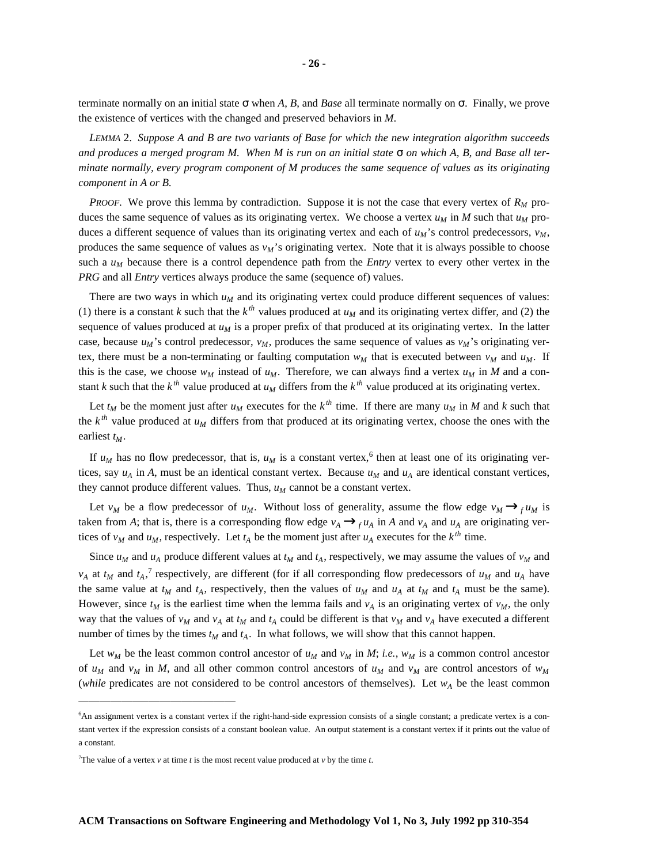terminate normally on an initial state σ when *A*, *B*, and *Base* all terminate normally on σ. Finally, we prove the existence of vertices with the changed and preserved behaviors in *M*.

*LEMMA* 2. *Suppose A and B are two variants of Base for which the new integration algorithm succeeds* and produces a merged program M. When M is run on an initial state  $\sigma$  on which A, B, and Base all ter*minate normally, every program component of M produces the same sequence of values as its originating component in A or B.*

*PROOF*. We prove this lemma by contradiction. Suppose it is not the case that every vertex of  $R_M$  produces the same sequence of values as its originating vertex. We choose a vertex  $u_M$  in *M* such that  $u_M$  produces a different sequence of values than its originating vertex and each of  $u_M$ 's control predecessors,  $v_M$ , produces the same sequence of values as  $v_M$ 's originating vertex. Note that it is always possible to choose such a  $u_M$  because there is a control dependence path from the *Entry* vertex to every other vertex in the *PRG* and all *Entry* vertices always produce the same (sequence of) values.

There are two ways in which  $u<sub>M</sub>$  and its originating vertex could produce different sequences of values: (1) there is a constant *k* such that the  $k^{th}$  values produced at  $u_M$  and its originating vertex differ, and (2) the sequence of values produced at *u<sup>M</sup>* is a proper prefix of that produced at its originating vertex. In the latter case, because  $u_M$ 's control predecessor,  $v_M$ , produces the same sequence of values as  $v_M$ 's originating vertex, there must be a non-terminating or faulting computation  $w<sub>M</sub>$  that is executed between  $v<sub>M</sub>$  and  $u<sub>M</sub>$ . If this is the case, we choose  $w_M$  instead of  $u_M$ . Therefore, we can always find a vertex  $u_M$  in *M* and a constant *k* such that the  $k^{th}$  value produced at  $u_M$  differs from the  $k^{th}$  value produced at its originating vertex.

Let  $t_M$  be the moment just after  $u_M$  executes for the  $k^{th}$  time. If there are many  $u_M$  in M and k such that the  $k^{th}$  value produced at  $u_M$  differs from that produced at its originating vertex, choose the ones with the earliest *tM*.

If  $u_M$  has no flow predecessor, that is,  $u_M$  is a constant vertex,<sup>6</sup> then at least one of its originating vertices, say  $u_A$  in *A*, must be an identical constant vertex. Because  $u_M$  and  $u_A$  are identical constant vertices, they cannot produce different values. Thus,  $u_M$  cannot be a constant vertex.

Let *v<sub>M</sub>* be a flow predecessor of  $u_M$ . Without loss of generality, assume the flow edge  $v_M \rightarrow_f u_M$  is taken from *A*; that is, there is a corresponding flow edge  $v_A \rightarrow_f u_A$  in *A* and  $v_A$  and  $u_A$  are originating vertices of  $v_M$  and  $u_M$ , respectively. Let  $t_A$  be the moment just after  $u_A$  executes for the  $k^{th}$  time.

Since  $u_M$  and  $u_A$  produce different values at  $t_M$  and  $t_A$ , respectively, we may assume the values of  $v_M$  and  $v_A$  at  $t_M$  and  $t_A$ ,<sup>7</sup> respectively, are different (for if all corresponding flow predecessors of  $u_M$  and  $u_A$  have the same value at  $t_M$  and  $t_A$ , respectively, then the values of  $u_M$  and  $u_A$  at  $t_M$  and  $t_A$  must be the same). However, since  $t_M$  is the earliest time when the lemma fails and  $v_A$  is an originating vertex of  $v_M$ , the only way that the values of  $v_M$  and  $v_A$  at  $t_M$  and  $t_A$  could be different is that  $v_M$  and  $v_A$  have executed a different number of times by the times  $t_M$  and  $t_A$ . In what follows, we will show that this cannot happen.

Let  $w_M$  be the least common control ancestor of  $u_M$  and  $v_M$  in *M*; *i.e.*,  $w_M$  is a common control ancestor of  $u_M$  and  $v_M$  in *M*, and all other common control ancestors of  $u_M$  and  $v_M$  are control ancestors of  $w_M$ (*while* predicates are not considered to be control ancestors of themselves). Let  $w_A$  be the least common

<sup>6</sup>An assignment vertex is a constant vertex if the right-hand-side expression consists of a single constant; a predicate vertex is a constant vertex if the expression consists of a constant boolean value. An output statement is a constant vertex if it prints out the value of a constant.

<sup>&</sup>lt;sup>7</sup>The value of a vertex *v* at time *t* is the most recent value produced at *v* by the time *t*.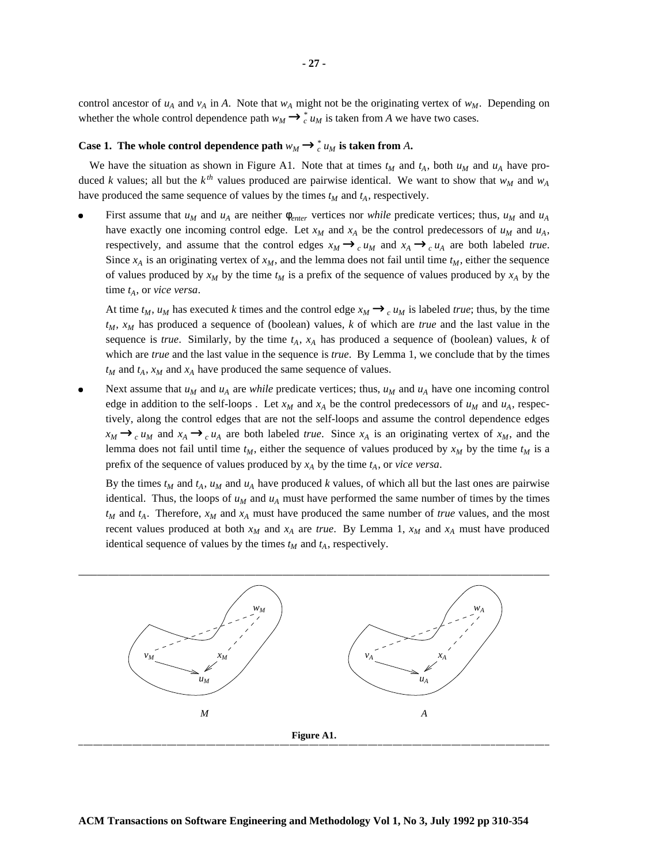control ancestor of  $u_A$  and  $v_A$  in A. Note that  $w_A$  might not be the originating vertex of  $w_M$ . Depending on whether the whole control dependence path  $w_M \rightarrow_c^* u_M$  is taken from *A* we have two cases.

## **Case 1.** The whole control dependence path  $w_M \rightarrow_c^* u_M$  is taken from A.

We have the situation as shown in Figure A1. Note that at times  $t_M$  and  $t_A$ , both  $u_M$  and  $u_A$  have produced *k* values; all but the  $k^{th}$  values produced are pairwise identical. We want to show that  $w_M$  and  $w_A$ have produced the same sequence of values by the times  $t_M$  and  $t_A$ , respectively.

First assume that  $u_M$  and  $u_A$  are neither  $\phi_{enter}$  vertices nor *while* predicate vertices; thus,  $u_M$  and  $u_A$ have exactly one incoming control edge. Let  $x_M$  and  $x_A$  be the control predecessors of  $u_M$  and  $u_A$ , respectively, and assume that the control edges  $x_M \rightarrow_c u_M$  and  $x_A \rightarrow_c u_A$  are both labeled *true*. Since  $x_A$  is an originating vertex of  $x_M$ , and the lemma does not fail until time  $t_M$ , either the sequence of values produced by  $x_M$  by the time  $t_M$  is a prefix of the sequence of values produced by  $x_A$  by the time *tA*, or *vice versa*.

At time  $t_M$ ,  $u_M$  has executed *k* times and the control edge  $x_M \rightarrow_c u_M$  is labeled *true*; thus, by the time *tM*, *x<sup>M</sup>* has produced a sequence of (boolean) values, *k* of which are *true* and the last value in the sequence is *true*. Similarly, by the time *tA*, *x<sup>A</sup>* has produced a sequence of (boolean) values, *k* of which are *true* and the last value in the sequence is *true*. By Lemma 1, we conclude that by the times  $t_M$  and  $t_A$ ,  $x_M$  and  $x_A$  have produced the same sequence of values.

• Next assume that  $u_M$  and  $u_A$  are *while* predicate vertices; thus,  $u_M$  and  $u_A$  have one incoming control edge in addition to the self-loops. Let  $x_M$  and  $x_A$  be the control predecessors of  $u_M$  and  $u_A$ , respectively, along the control edges that are not the self-loops and assume the control dependence edges  $x_M \rightarrow_c u_M$  and  $x_A \rightarrow_c u_A$  are both labeled *true*. Since  $x_A$  is an originating vertex of  $x_M$ , and the lemma does not fail until time  $t_M$ , either the sequence of values produced by  $x_M$  by the time  $t_M$  is a prefix of the sequence of values produced by  $x_A$  by the time  $t_A$ , or *vice versa*.

By the times  $t_M$  and  $t_A$ ,  $u_M$  and  $u_A$  have produced *k* values, of which all but the last ones are pairwise identical. Thus, the loops of  $u_M$  and  $u_A$  must have performed the same number of times by the times *t<sup>M</sup>* and *tA*. Therefore, *x<sup>M</sup>* and *x<sup>A</sup>* must have produced the same number of *true* values, and the most recent values produced at both  $x_M$  and  $x_A$  are *true*. By Lemma 1,  $x_M$  and  $x_A$  must have produced identical sequence of values by the times  $t_M$  and  $t_A$ , respectively.

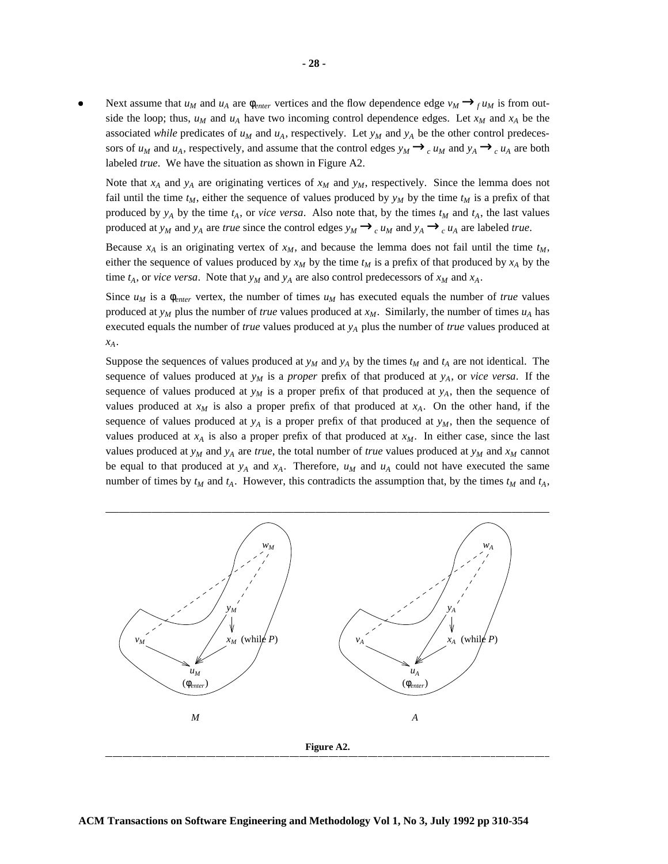• Next assume that  $u_M$  and  $u_A$  are  $\phi_{enter}$  vertices and the flow dependence edge  $v_M \rightarrow$ <sub>f</sub>  $u_M$  is from outside the loop; thus,  $u_M$  and  $u_A$  have two incoming control dependence edges. Let  $x_M$  and  $x_A$  be the associated *while* predicates of  $u_M$  and  $u_A$ , respectively. Let  $y_M$  and  $y_A$  be the other control predecessors of  $u_M$  and  $u_A$ , respectively, and assume that the control edges  $y_M \rightarrow_c u_M$  and  $y_A \rightarrow_c u_A$  are both labeled *true*. We have the situation as shown in Figure A2.

Note that  $x_A$  and  $y_A$  are originating vertices of  $x_M$  and  $y_M$ , respectively. Since the lemma does not fail until the time  $t_M$ , either the sequence of values produced by  $y_M$  by the time  $t_M$  is a prefix of that produced by  $y_A$  by the time  $t_A$ , or *vice versa*. Also note that, by the times  $t_M$  and  $t_A$ , the last values produced at *y<sub>M</sub>* and *y<sub>A</sub>* are *true* since the control edges  $y_M \rightarrow_c u_M$  and  $y_A \rightarrow_c u_A$  are labeled *true*.

Because  $x_A$  is an originating vertex of  $x_M$ , and because the lemma does not fail until the time  $t_M$ , either the sequence of values produced by  $x_M$  by the time  $t_M$  is a prefix of that produced by  $x_A$  by the time  $t_A$ , or *vice versa*. Note that  $y_M$  and  $y_A$  are also control predecessors of  $x_M$  and  $x_A$ .

Since  $u_M$  is a  $\phi_{enter}$  vertex, the number of times  $u_M$  has executed equals the number of *true* values produced at  $y_M$  plus the number of *true* values produced at  $x_M$ . Similarly, the number of times  $u_A$  has executed equals the number of *true* values produced at *y<sup>A</sup>* plus the number of *true* values produced at *xA*.

Suppose the sequences of values produced at  $y_M$  and  $y_A$  by the times  $t_M$  and  $t_A$  are not identical. The sequence of values produced at  $y_M$  is a *proper* prefix of that produced at  $y_A$ , or *vice versa*. If the sequence of values produced at  $y_M$  is a proper prefix of that produced at  $y_A$ , then the sequence of values produced at  $x_M$  is also a proper prefix of that produced at  $x_A$ . On the other hand, if the sequence of values produced at  $y_A$  is a proper prefix of that produced at  $y_M$ , then the sequence of values produced at  $x_A$  is also a proper prefix of that produced at  $x_M$ . In either case, since the last values produced at  $y_M$  and  $y_A$  are *true*, the total number of *true* values produced at  $y_M$  and  $x_M$  cannot be equal to that produced at  $y_A$  and  $x_A$ . Therefore,  $u_M$  and  $u_A$  could not have executed the same number of times by  $t_M$  and  $t_A$ . However, this contradicts the assumption that, by the times  $t_M$  and  $t_A$ ,

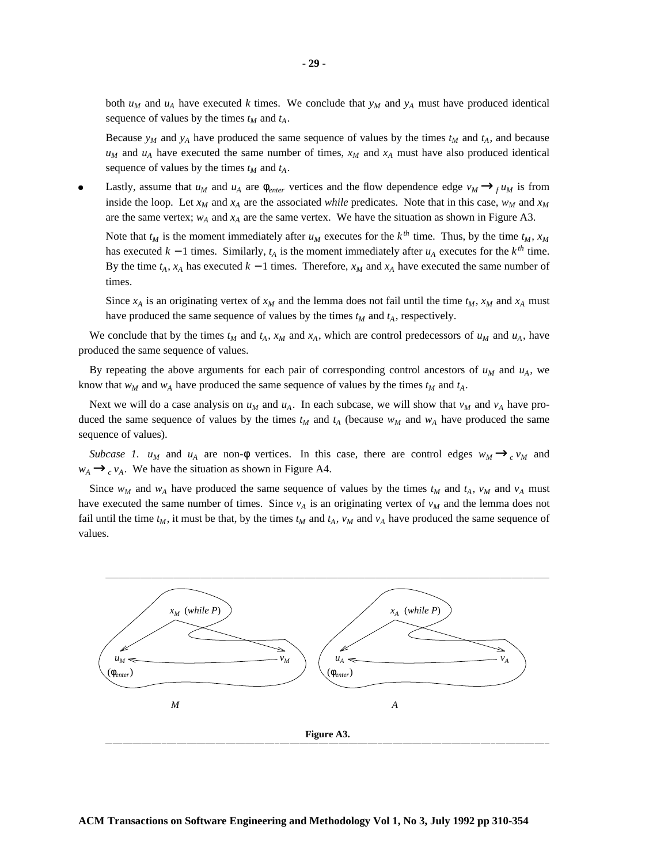both  $u_M$  and  $u_A$  have executed *k* times. We conclude that  $y_M$  and  $y_A$  must have produced identical sequence of values by the times  $t_M$  and  $t_A$ .

Because  $y_M$  and  $y_A$  have produced the same sequence of values by the times  $t_M$  and  $t_A$ , and because  $u_M$  and  $u_A$  have executed the same number of times,  $x_M$  and  $x_A$  must have also produced identical sequence of values by the times  $t_M$  and  $t_A$ .

• Lastly, assume that  $u_M$  and  $u_A$  are  $\phi_{enter}$  vertices and the flow dependence edge  $v_M \rightarrow_f u_M$  is from inside the loop. Let  $x_M$  and  $x_A$  are the associated *while* predicates. Note that in this case,  $w_M$  and  $x_M$ are the same vertex;  $w_A$  and  $x_A$  are the same vertex. We have the situation as shown in Figure A3.

Note that  $t_M$  is the moment immediately after  $u_M$  executes for the  $k^{th}$  time. Thus, by the time  $t_M$ ,  $x_M$ has executed  $k - 1$  times. Similarly,  $t_A$  is the moment immediately after  $u_A$  executes for the  $k^{th}$  time. By the time  $t_A$ ,  $x_A$  has executed  $k-1$  times. Therefore,  $x_M$  and  $x_A$  have executed the same number of times.

Since  $x_A$  is an originating vertex of  $x_M$  and the lemma does not fail until the time  $t_M$ ,  $x_M$  and  $x_A$  must have produced the same sequence of values by the times  $t_M$  and  $t_A$ , respectively.

We conclude that by the times  $t_M$  and  $t_A$ ,  $x_M$  and  $x_A$ , which are control predecessors of  $u_M$  and  $u_A$ , have produced the same sequence of values.

By repeating the above arguments for each pair of corresponding control ancestors of  $u_M$  and  $u_A$ , we know that  $w_M$  and  $w_A$  have produced the same sequence of values by the times  $t_M$  and  $t_A$ .

Next we will do a case analysis on  $u_M$  and  $u_A$ . In each subcase, we will show that  $v_M$  and  $v_A$  have produced the same sequence of values by the times  $t_M$  and  $t_A$  (because  $w_M$  and  $w_A$  have produced the same sequence of values).

*Subcase 1*. *u<sub>M</sub>* and *u<sub>A</sub>* are non- $\phi$  vertices. In this case, there are control edges  $w_M \rightarrow_c v_M$  and  $w_A \rightarrow_c v_A$ . We have the situation as shown in Figure A4.

Since  $w_M$  and  $w_A$  have produced the same sequence of values by the times  $t_M$  and  $t_A$ ,  $v_M$  and  $v_A$  must have executed the same number of times. Since  $v_A$  is an originating vertex of  $v_M$  and the lemma does not fail until the time  $t_M$ , it must be that, by the times  $t_M$  and  $t_A$ ,  $v_M$  and  $v_A$  have produced the same sequence of values.

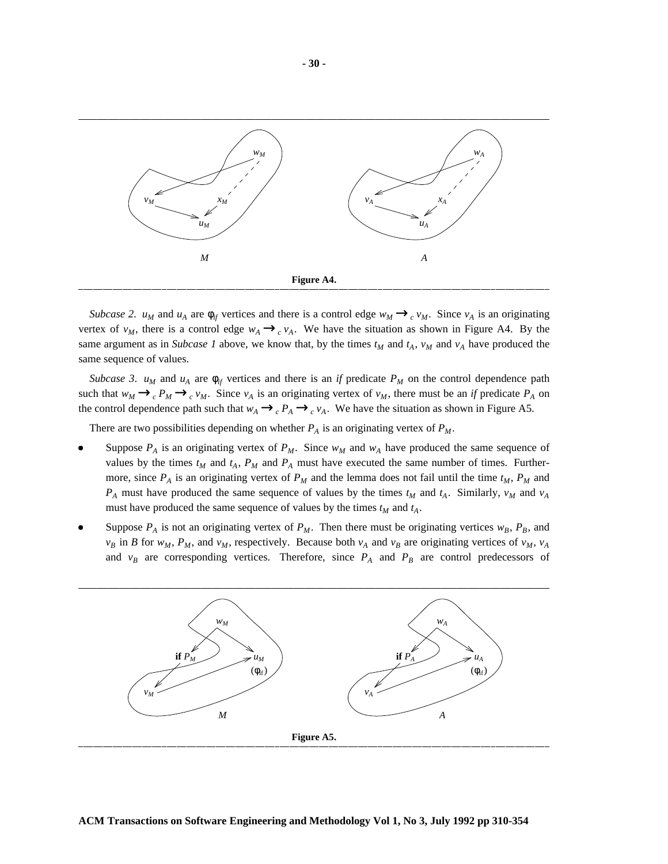

*Subcase* 2. *u<sub>M</sub>* and *u<sub>A</sub>* are  $\phi_{if}$  vertices and there is a control edge  $w_M \rightarrow_c v_M$ . Since  $v_A$  is an originating vertex of  $v_M$ , there is a control edge  $w_A \rightarrow_c v_A$ . We have the situation as shown in Figure A4. By the same argument as in *Subcase 1* above, we know that, by the times  $t_M$  and  $t_A$ ,  $v_M$  and  $v_A$  have produced the same sequence of values.

*Subcase* 3.  $u_M$  and  $u_A$  are  $\phi_{if}$  vertices and there is an *if* predicate  $P_M$  on the control dependence path such that  $w_M \rightarrow_c P_M \rightarrow_c v_M$ . Since  $v_A$  is an originating vertex of  $v_M$ , there must be an *if* predicate  $P_A$  on the control dependence path such that  $w_A \rightarrow_c P_A \rightarrow_c v_A$ . We have the situation as shown in Figure A5.

There are two possibilities depending on whether  $P_A$  is an originating vertex of  $P_M$ .

- Suppose  $P_A$  is an originating vertex of  $P_M$ . Since  $w_M$  and  $w_A$  have produced the same sequence of values by the times  $t_M$  and  $t_A$ ,  $P_M$  and  $P_A$  must have executed the same number of times. Furthermore, since  $P_A$  is an originating vertex of  $P_M$  and the lemma does not fail until the time  $t_M$ ,  $P_M$  and  $P_A$  must have produced the same sequence of values by the times  $t_M$  and  $t_A$ . Similarly,  $v_M$  and  $v_A$ must have produced the same sequence of values by the times *t<sup>M</sup>* and *tA*.
- Suppose  $P_A$  is not an originating vertex of  $P_M$ . Then there must be originating vertices  $w_B$ ,  $P_B$ , and  $v_B$  in *B* for  $w_M$ ,  $P_M$ , and  $v_M$ , respectively. Because both  $v_A$  and  $v_B$  are originating vertices of  $v_M$ ,  $v_A$ and  $v_B$  are corresponding vertices. Therefore, since  $P_A$  and  $P_B$  are control predecessors of

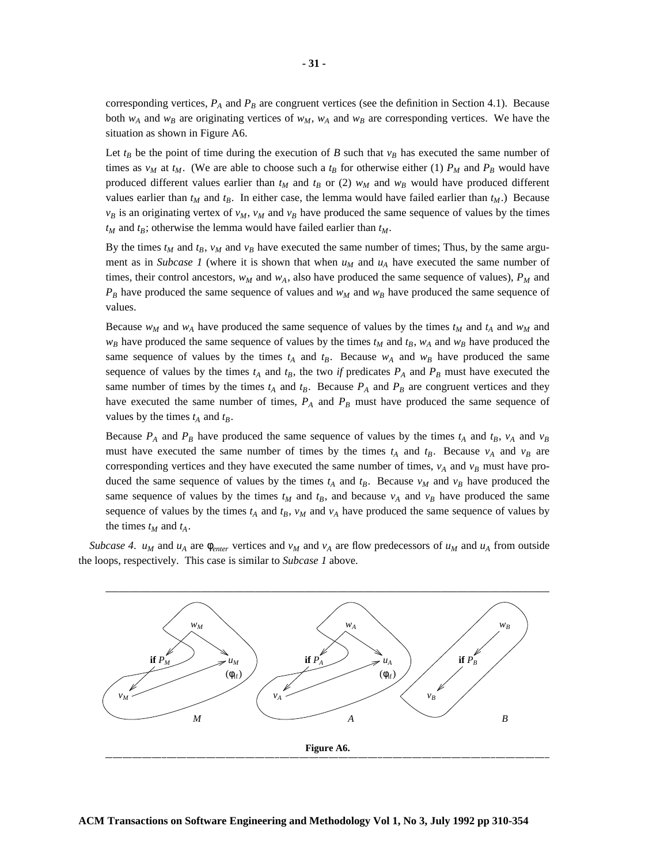Let  $t_B$  be the point of time during the execution of *B* such that  $v_B$  has executed the same number of times as  $v_M$  at  $t_M$ . (We are able to choose such a  $t_B$  for otherwise either (1)  $P_M$  and  $P_B$  would have produced different values earlier than  $t_M$  and  $t_B$  or (2)  $w_M$  and  $w_B$  would have produced different values earlier than  $t_M$  and  $t_B$ . In either case, the lemma would have failed earlier than  $t_M$ .) Because  $v_B$  is an originating vertex of  $v_M$ ,  $v_M$  and  $v_B$  have produced the same sequence of values by the times *t<sup>M</sup>* and *tB*; otherwise the lemma would have failed earlier than *tM*.

By the times  $t_M$  and  $t_B$ ,  $v_M$  and  $v_B$  have executed the same number of times; Thus, by the same argument as in *Subcase 1* (where it is shown that when  $u_M$  and  $u_A$  have executed the same number of times, their control ancestors,  $w<sub>M</sub>$  and  $w<sub>A</sub>$ , also have produced the same sequence of values),  $P<sub>M</sub>$  and  $P_B$  have produced the same sequence of values and  $w_M$  and  $w_B$  have produced the same sequence of values.

Because  $w_M$  and  $w_A$  have produced the same sequence of values by the times  $t_M$  and  $t_A$  and  $w_M$  and  $w_B$  have produced the same sequence of values by the times  $t_M$  and  $t_B$ ,  $w_A$  and  $w_B$  have produced the same sequence of values by the times  $t_A$  and  $t_B$ . Because  $w_A$  and  $w_B$  have produced the same sequence of values by the times  $t_A$  and  $t_B$ , the two *if* predicates  $P_A$  and  $P_B$  must have executed the same number of times by the times  $t_A$  and  $t_B$ . Because  $P_A$  and  $P_B$  are congruent vertices and they have executed the same number of times,  $P_A$  and  $P_B$  must have produced the same sequence of values by the times  $t_A$  and  $t_B$ .

Because  $P_A$  and  $P_B$  have produced the same sequence of values by the times  $t_A$  and  $t_B$ ,  $v_A$  and  $v_B$ must have executed the same number of times by the times  $t_A$  and  $t_B$ . Because  $v_A$  and  $v_B$  are corresponding vertices and they have executed the same number of times,  $v_A$  and  $v_B$  must have produced the same sequence of values by the times  $t_A$  and  $t_B$ . Because  $v_M$  and  $v_B$  have produced the same sequence of values by the times  $t_M$  and  $t_B$ , and because  $v_A$  and  $v_B$  have produced the same sequence of values by the times  $t_A$  and  $t_B$ ,  $v_M$  and  $v_A$  have produced the same sequence of values by the times  $t_M$  and  $t_A$ .

*Subcase* 4. *u<sub>M</sub>* and *u<sub>A</sub>* are  $\phi_{enter}$  vertices and *v<sub>M</sub>* and *v<sub>A</sub>* are flow predecessors of *u<sub>M</sub>* and *u<sub>A</sub>* from outside the loops, respectively. This case is similar to *Subcase 1* above.

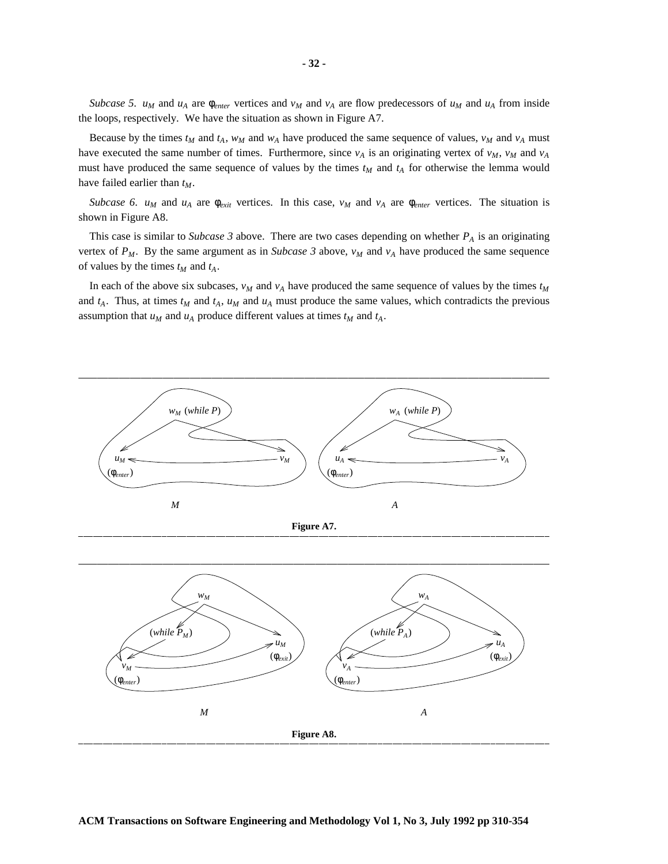*Subcase* 5.  $u_M$  and  $u_A$  are  $\phi_{enter}$  vertices and  $v_M$  and  $v_A$  are flow predecessors of  $u_M$  and  $u_A$  from inside the loops, respectively. We have the situation as shown in Figure A7.

Because by the times  $t_M$  and  $t_A$ ,  $w_M$  and  $w_A$  have produced the same sequence of values,  $v_M$  and  $v_A$  must have executed the same number of times. Furthermore, since  $v_A$  is an originating vertex of  $v_M$ ,  $v_M$  and  $v_A$ must have produced the same sequence of values by the times  $t_M$  and  $t_A$  for otherwise the lemma would have failed earlier than *tM*.

*Subcase* 6.  $u_M$  and  $u_A$  are  $\phi_{exit}$  vertices. In this case,  $v_M$  and  $v_A$  are  $\phi_{enter}$  vertices. The situation is shown in Figure A8.

This case is similar to *Subcase*  $3$  above. There are two cases depending on whether  $P_A$  is an originating vertex of  $P_M$ . By the same argument as in *Subcase* 3 above,  $v_M$  and  $v_A$  have produced the same sequence of values by the times  $t_M$  and  $t_A$ .

In each of the above six subcases,  $v_M$  and  $v_A$  have produced the same sequence of values by the times  $t_M$ and  $t_A$ . Thus, at times  $t_M$  and  $t_A$ ,  $u_M$  and  $u_A$  must produce the same values, which contradicts the previous assumption that  $u_M$  and  $u_A$  produce different values at times  $t_M$  and  $t_A$ .

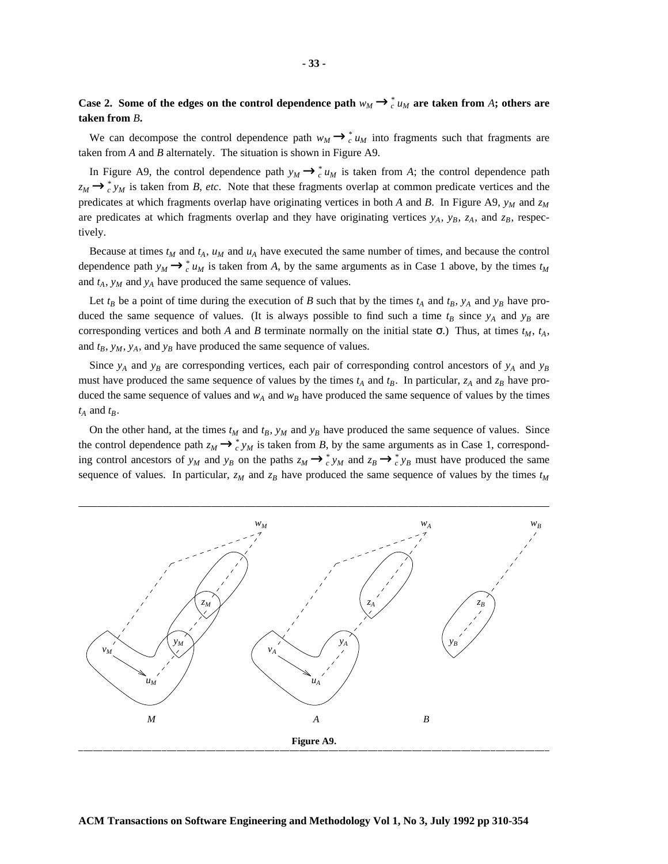We can decompose the control dependence path  $w_M \rightarrow_c^* u_M$  into fragments such that fragments are taken from *A* and *B* alternately. The situation is shown in Figure A9.

In Figure A9, the control dependence path  $y_M \rightarrow_c^* u_M$  is taken from *A*; the control dependence path  $z_M \rightarrow_c^* y_M$  is taken from *B*, *etc*. Note that these fragments overlap at common predicate vertices and the predicates at which fragments overlap have originating vertices in both *A* and *B*. In Figure A9,  $y_M$  and  $z_M$ are predicates at which fragments overlap and they have originating vertices  $y_A$ ,  $y_B$ ,  $z_A$ , and  $z_B$ , respectively.

Because at times  $t_M$  and  $t_A$ ,  $u_M$  and  $u_A$  have executed the same number of times, and because the control dependence path  $y_M \rightarrow_c^* u_M$  is taken from *A*, by the same arguments as in Case 1 above, by the times  $t_M$ and  $t_A$ ,  $y_M$  and  $y_A$  have produced the same sequence of values.

Let  $t_B$  be a point of time during the execution of *B* such that by the times  $t_A$  and  $t_B$ ,  $y_A$  and  $y_B$  have produced the same sequence of values. (It is always possible to find such a time  $t_B$  since  $y_A$  and  $y_B$  are corresponding vertices and both *A* and *B* terminate normally on the initial state  $\sigma$ .) Thus, at times  $t_M$ ,  $t_A$ , and  $t_B$ ,  $y_M$ ,  $y_A$ , and  $y_B$  have produced the same sequence of values.

Since  $y_A$  and  $y_B$  are corresponding vertices, each pair of corresponding control ancestors of  $y_A$  and  $y_B$ must have produced the same sequence of values by the times  $t_A$  and  $t_B$ . In particular,  $z_A$  and  $z_B$  have produced the same sequence of values and  $w_A$  and  $w_B$  have produced the same sequence of values by the times  $t_A$  and  $t_B$ .

On the other hand, at the times  $t_M$  and  $t_B$ ,  $y_M$  and  $y_B$  have produced the same sequence of values. Since the control dependence path  $z_M \rightarrow z^*_{c} y_M$  is taken from *B*, by the same arguments as in Case 1, corresponding control ancestors of  $y_M$  and  $y_B$  on the paths  $z_M \to c^* y_M$  and  $z_B \to c^* y_B$  must have produced the same sequence of values. In particular,  $z_M$  and  $z_B$  have produced the same sequence of values by the times  $t_M$ 



#### **ACM Transactions on Software Engineering and Methodology Vol 1, No 3, July 1992 pp 310-354**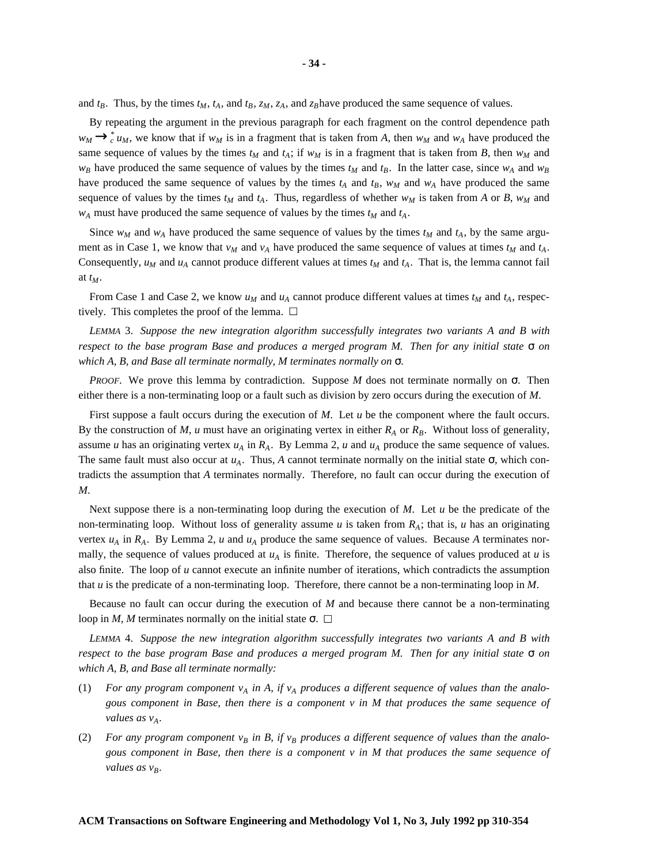and  $t_B$ . Thus, by the times  $t_M$ ,  $t_A$ , and  $t_B$ ,  $z_M$ ,  $z_A$ , and  $z_B$  have produced the same sequence of values.

By repeating the argument in the previous paragraph for each fragment on the control dependence path  $w_M \rightarrow_c^* u_M$ , we know that if  $w_M$  is in a fragment that is taken from *A*, then  $w_M$  and  $w_A$  have produced the same sequence of values by the times  $t_M$  and  $t_A$ ; if  $w_M$  is in a fragment that is taken from *B*, then  $w_M$  and  $w_B$  have produced the same sequence of values by the times  $t_M$  and  $t_B$ . In the latter case, since  $w_A$  and  $w_B$ have produced the same sequence of values by the times  $t_A$  and  $t_B$ ,  $w_M$  and  $w_A$  have produced the same sequence of values by the times  $t_M$  and  $t_A$ . Thus, regardless of whether  $w_M$  is taken from *A* or *B*,  $w_M$  and  $w_A$  must have produced the same sequence of values by the times  $t_M$  and  $t_A$ .

Since  $w_M$  and  $w_A$  have produced the same sequence of values by the times  $t_M$  and  $t_A$ , by the same argument as in Case 1, we know that  $v_M$  and  $v_A$  have produced the same sequence of values at times  $t_M$  and  $t_A$ . Consequently,  $u_M$  and  $u_A$  cannot produce different values at times  $t_M$  and  $t_A$ . That is, the lemma cannot fail at *tM*.

From Case 1 and Case 2, we know  $u_M$  and  $u_A$  cannot produce different values at times  $t_M$  and  $t_A$ , respectively. This completes the proof of the lemma.  $\Box$ 

*LEMMA* 3. *Suppose the new integration algorithm successfully integrates two variants A and B with respect to the base program Base and produces a merged program M. Then for any initial state* σ *on which A, B, and Base all terminate normally, M terminates normally on* σ*.*

*PROOF*. We prove this lemma by contradiction. Suppose *M* does not terminate normally on  $\sigma$ . Then either there is a non-terminating loop or a fault such as division by zero occurs during the execution of *M*.

First suppose a fault occurs during the execution of *M*. Let *u* be the component where the fault occurs. By the construction of *M*, *u* must have an originating vertex in either  $R_A$  or  $R_B$ . Without loss of generality, assume *u* has an originating vertex  $u_A$  in  $R_A$ . By Lemma 2, *u* and  $u_A$  produce the same sequence of values. The same fault must also occur at  $u_A$ . Thus, *A* cannot terminate normally on the initial state  $\sigma$ , which contradicts the assumption that *A* terminates normally. Therefore, no fault can occur during the execution of *M*.

Next suppose there is a non-terminating loop during the execution of *M*. Let *u* be the predicate of the non-terminating loop. Without loss of generality assume *u* is taken from  $R_A$ ; that is, *u* has an originating vertex  $u_A$  in  $R_A$ . By Lemma 2,  $u$  and  $u_A$  produce the same sequence of values. Because  $A$  terminates normally, the sequence of values produced at  $u_A$  is finite. Therefore, the sequence of values produced at  $u$  is also finite. The loop of *u* cannot execute an infinite number of iterations, which contradicts the assumption that *u* is the predicate of a non-terminating loop. Therefore, there cannot be a non-terminating loop in *M*.

Because no fault can occur during the execution of *M* and because there cannot be a non-terminating loop in *M*, *M* terminates normally on the initial state  $\sigma$ .  $\Box$ 

*LEMMA* 4. *Suppose the new integration algorithm successfully integrates two variants A and B with respect to the base program Base and produces a merged program M. Then for any initial state* σ *on which A, B, and Base all terminate normally:*

- (1) For any program component  $v_A$  in A, if  $v_A$  produces a different sequence of values than the analo*gous component in Base, then there is a component v in M that produces the same sequence of values* as  $v_A$ *.*
- (2) For any program component  $v_B$  in B, if  $v_B$  produces a different sequence of values than the analo*gous component in Base, then there is a component v in M that produces the same sequence of values as vB.*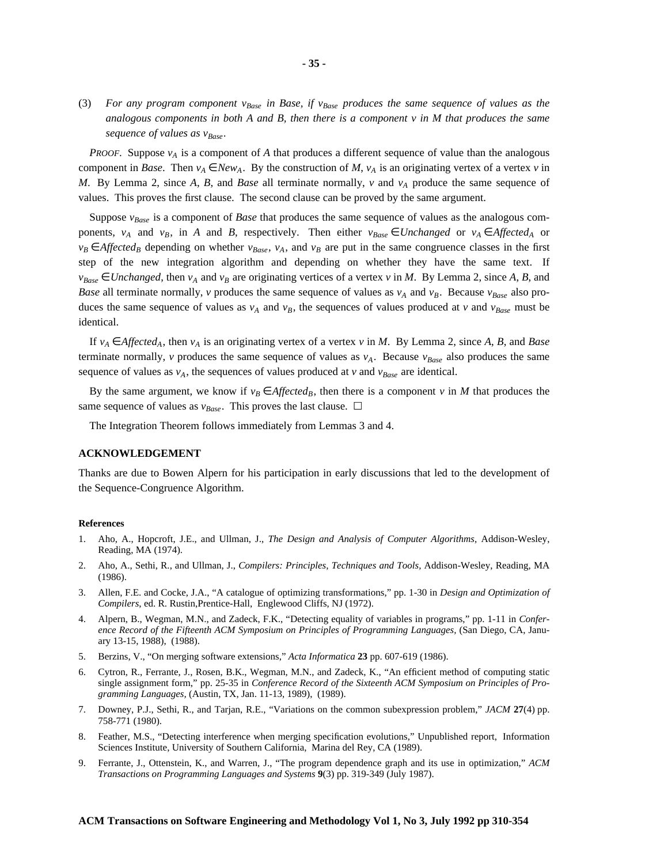(3) For any program component  $v_{Base}$  in Base, if  $v_{Base}$  produces the same sequence of values as the analogous components in both A and B, then there is a component  $\nu$  in M that produces the same *sequence of values as vBase.*

*PROOF*. Suppose  $v_A$  is a component of *A* that produces a different sequence of value than the analogous component in *Base*. Then  $v_A \in New_A$ . By the construction of *M*,  $v_A$  is an originating vertex of a vertex *v* in *M*. By Lemma 2, since *A*, *B*, and *Base* all terminate normally, *v* and *v<sup>A</sup>* produce the same sequence of values. This proves the first clause. The second clause can be proved by the same argument.

Suppose *vBase* is a component of *Base* that produces the same sequence of values as the analogous components,  $v_A$  and  $v_B$ , in *A* and *B*, respectively. Then either  $v_{Base} \in Unchanged$  or  $v_A \in Affected_A$  or  $v_B \in$  *Affected<sub>B</sub>* depending on whether  $v_{Base}$ ,  $v_A$ , and  $v_B$  are put in the same congruence classes in the first step of the new integration algorithm and depending on whether they have the same text. If  $v_{Base} \in Unchanged$ , then  $v_A$  and  $v_B$  are originating vertices of a vertex *v* in *M*. By Lemma 2, since *A*, *B*, and *Base* all terminate normally, *v* produces the same sequence of values as  $v_A$  and  $v_B$ . Because  $v_{Base}$  also produces the same sequence of values as  $v_A$  and  $v_B$ , the sequences of values produced at *v* and  $v_{Base}$  must be identical.

If  $v_A \in \text{Affected}_A$ , then  $v_A$  is an originating vertex of a vertex *v* in *M*. By Lemma 2, since *A*, *B*, and *Base* terminate normally, *v* produces the same sequence of values as  $v_A$ . Because  $v_{Base}$  also produces the same sequence of values as  $v_A$ , the sequences of values produced at *v* and  $v_{Base}$  are identical.

By the same argument, we know if  $v_B \in \text{Affected}_B$ , then there is a component *v* in *M* that produces the same sequence of values as  $v_{Base}$ . This proves the last clause.  $\Box$ 

The Integration Theorem follows immediately from Lemmas 3 and 4.

#### **ACKNOWLEDGEMENT**

Thanks are due to Bowen Alpern for his participation in early discussions that led to the development of the Sequence-Congruence Algorithm.

#### **References**

- 1. Aho, A., Hopcroft, J.E., and Ullman, J., *The Design and Analysis of Computer Algorithms,* Addison-Wesley, Reading, MA (1974).
- 2. Aho, A., Sethi, R., and Ullman, J., *Compilers: Principles, Techniques and Tools,* Addison-Wesley, Reading, MA (1986).
- 3. Allen, F.E. and Cocke, J.A., "A catalogue of optimizing transformations," pp. 1-30 in *Design and Optimization of Compilers*, ed. R. Rustin,Prentice-Hall, Englewood Cliffs, NJ (1972).
- 4. Alpern, B., Wegman, M.N., and Zadeck, F.K., "Detecting equality of variables in programs," pp. 1-11 in *Conference Record of the Fifteenth ACM Symposium on Principles of Programming Languages,* (San Diego, CA, January 13-15, 1988), (1988).
- 5. Berzins, V., "On merging software extensions," *Acta Informatica* **23** pp. 607-619 (1986).
- 6. Cytron, R., Ferrante, J., Rosen, B.K., Wegman, M.N., and Zadeck, K., "An efficient method of computing static single assignment form," pp. 25-35 in *Conference Record of the Sixteenth ACM Symposium on Principles of Programming Languages,* (Austin, TX, Jan. 11-13, 1989), (1989).
- 7. Downey, P.J., Sethi, R., and Tarjan, R.E., "Variations on the common subexpression problem," *JACM* **27**(4) pp. 758-771 (1980).
- 8. Feather, M.S., "Detecting interference when merging specification evolutions," Unpublished report, Information Sciences Institute, University of Southern California, Marina del Rey, CA (1989).
- 9. Ferrante, J., Ottenstein, K., and Warren, J., "The program dependence graph and its use in optimization," *ACM Transactions on Programming Languages and Systems* **9**(3) pp. 319-349 (July 1987).

#### **ACM Transactions on Software Engineering and Methodology Vol 1, No 3, July 1992 pp 310-354**